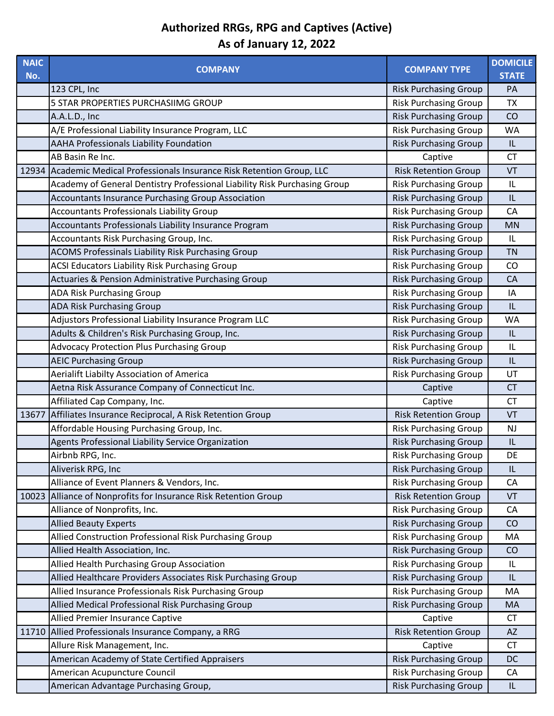| <b>NAIC</b> |                                                                           | <b>COMPANY TYPE</b>          | <b>DOMICILE</b> |
|-------------|---------------------------------------------------------------------------|------------------------------|-----------------|
| No.         | <b>COMPANY</b>                                                            |                              | <b>STATE</b>    |
|             | 123 CPL, Inc                                                              | <b>Risk Purchasing Group</b> | <b>PA</b>       |
|             | 5 STAR PROPERTIES PURCHASIIMG GROUP                                       | <b>Risk Purchasing Group</b> | <b>TX</b>       |
|             | A.A.L.D., Inc                                                             | <b>Risk Purchasing Group</b> | CO              |
|             | A/E Professional Liability Insurance Program, LLC                         | <b>Risk Purchasing Group</b> | <b>WA</b>       |
|             | AAHA Professionals Liability Foundation                                   | <b>Risk Purchasing Group</b> | IL              |
|             | AB Basin Re Inc.                                                          | Captive                      | <b>CT</b>       |
| 12934       | Academic Medical Professionals Insurance Risk Retention Group, LLC        | <b>Risk Retention Group</b>  | VT              |
|             | Academy of General Dentistry Professional Liability Risk Purchasing Group | <b>Risk Purchasing Group</b> | IL              |
|             | <b>Accountants Insurance Purchasing Group Association</b>                 | <b>Risk Purchasing Group</b> | IL              |
|             | <b>Accountants Professionals Liability Group</b>                          | <b>Risk Purchasing Group</b> | CA              |
|             | Accountants Professionals Liability Insurance Program                     | <b>Risk Purchasing Group</b> | <b>MN</b>       |
|             | Accountants Risk Purchasing Group, Inc.                                   | <b>Risk Purchasing Group</b> | IL              |
|             | <b>ACOMS Professinals Liability Risk Purchasing Group</b>                 | <b>Risk Purchasing Group</b> | <b>TN</b>       |
|             | <b>ACSI Educators Liability Risk Purchasing Group</b>                     | <b>Risk Purchasing Group</b> | CO              |
|             | <b>Actuaries &amp; Pension Administrative Purchasing Group</b>            | <b>Risk Purchasing Group</b> | <b>CA</b>       |
|             | <b>ADA Risk Purchasing Group</b>                                          | <b>Risk Purchasing Group</b> | IA              |
|             | <b>ADA Risk Purchasing Group</b>                                          | <b>Risk Purchasing Group</b> | IL              |
|             | Adjustors Professional Liability Insurance Program LLC                    | <b>Risk Purchasing Group</b> | <b>WA</b>       |
|             | Adults & Children's Risk Purchasing Group, Inc.                           | <b>Risk Purchasing Group</b> | IL              |
|             | <b>Advocacy Protection Plus Purchasing Group</b>                          | <b>Risk Purchasing Group</b> | IL              |
|             | <b>AEIC Purchasing Group</b>                                              | <b>Risk Purchasing Group</b> | IL              |
|             | Aerialift Liabilty Association of America                                 | <b>Risk Purchasing Group</b> | UT              |
|             | Aetna Risk Assurance Company of Connecticut Inc.                          | Captive                      | <b>CT</b>       |
|             | Affiliated Cap Company, Inc.                                              | Captive                      | <b>CT</b>       |
| 13677       | Affiliates Insurance Reciprocal, A Risk Retention Group                   | <b>Risk Retention Group</b>  | VT              |
|             | Affordable Housing Purchasing Group, Inc.                                 | <b>Risk Purchasing Group</b> | <b>NJ</b>       |
|             | Agents Professional Liability Service Organization                        | <b>Risk Purchasing Group</b> | IL              |
|             | Airbnb RPG, Inc.                                                          | <b>Risk Purchasing Group</b> | DE              |
|             | Aliverisk RPG, Inc                                                        | <b>Risk Purchasing Group</b> | IL              |
|             | Alliance of Event Planners & Vendors, Inc.                                | <b>Risk Purchasing Group</b> | CA              |
| 10023       | Alliance of Nonprofits for Insurance Risk Retention Group                 | <b>Risk Retention Group</b>  | VT              |
|             | Alliance of Nonprofits, Inc.                                              | <b>Risk Purchasing Group</b> | CA              |
|             | <b>Allied Beauty Experts</b>                                              | <b>Risk Purchasing Group</b> | CO              |
|             | Allied Construction Professional Risk Purchasing Group                    | <b>Risk Purchasing Group</b> | MA              |
|             | Allied Health Association, Inc.                                           | <b>Risk Purchasing Group</b> | CO              |
|             | Allied Health Purchasing Group Association                                | <b>Risk Purchasing Group</b> | IL              |
|             | Allied Healthcare Providers Associates Risk Purchasing Group              | <b>Risk Purchasing Group</b> | IL              |
|             | Allied Insurance Professionals Risk Purchasing Group                      | <b>Risk Purchasing Group</b> | MA              |
|             | Allied Medical Professional Risk Purchasing Group                         | <b>Risk Purchasing Group</b> | MA              |
|             | Allied Premier Insurance Captive                                          | Captive                      | <b>CT</b>       |
| 11710       | Allied Professionals Insurance Company, a RRG                             | <b>Risk Retention Group</b>  | <b>AZ</b>       |
|             | Allure Risk Management, Inc.                                              | Captive                      | <b>CT</b>       |
|             | American Academy of State Certified Appraisers                            | <b>Risk Purchasing Group</b> | DC              |
|             | American Acupuncture Council                                              | <b>Risk Purchasing Group</b> | CA              |
|             | American Advantage Purchasing Group,                                      | <b>Risk Purchasing Group</b> | IL              |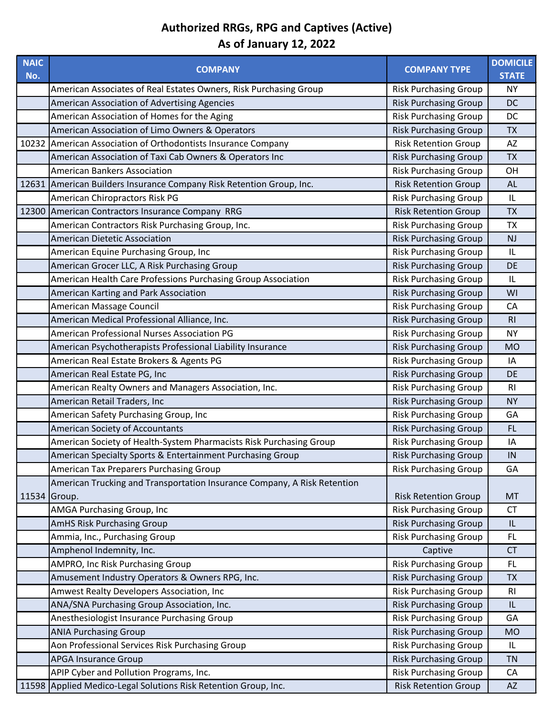| <b>NAIC</b> |                                                                          | <b>COMPANY TYPE</b>          | <b>DOMICILE</b> |
|-------------|--------------------------------------------------------------------------|------------------------------|-----------------|
| No.         | <b>COMPANY</b>                                                           |                              | <b>STATE</b>    |
|             | American Associates of Real Estates Owners, Risk Purchasing Group        | <b>Risk Purchasing Group</b> | <b>NY</b>       |
|             | American Association of Advertising Agencies                             | <b>Risk Purchasing Group</b> | <b>DC</b>       |
|             | American Association of Homes for the Aging                              | <b>Risk Purchasing Group</b> | DC              |
|             | American Association of Limo Owners & Operators                          | <b>Risk Purchasing Group</b> | <b>TX</b>       |
| 10232       | American Association of Orthodontists Insurance Company                  | <b>Risk Retention Group</b>  | AZ              |
|             | American Association of Taxi Cab Owners & Operators Inc                  | <b>Risk Purchasing Group</b> | <b>TX</b>       |
|             | <b>American Bankers Association</b>                                      | <b>Risk Purchasing Group</b> | OH              |
| 12631       | American Builders Insurance Company Risk Retention Group, Inc.           | <b>Risk Retention Group</b>  | <b>AL</b>       |
|             | American Chiropractors Risk PG                                           | <b>Risk Purchasing Group</b> | IL              |
| 12300       | American Contractors Insurance Company RRG                               | <b>Risk Retention Group</b>  | <b>TX</b>       |
|             | American Contractors Risk Purchasing Group, Inc.                         | <b>Risk Purchasing Group</b> | <b>TX</b>       |
|             | <b>American Dietetic Association</b>                                     | <b>Risk Purchasing Group</b> | <b>NJ</b>       |
|             | American Equine Purchasing Group, Inc                                    | <b>Risk Purchasing Group</b> | IL              |
|             | American Grocer LLC, A Risk Purchasing Group                             | <b>Risk Purchasing Group</b> | <b>DE</b>       |
|             | American Health Care Professions Purchasing Group Association            | <b>Risk Purchasing Group</b> | IL              |
|             | American Karting and Park Association                                    | <b>Risk Purchasing Group</b> | WI              |
|             | American Massage Council                                                 | <b>Risk Purchasing Group</b> | CA              |
|             | American Medical Professional Alliance, Inc.                             | <b>Risk Purchasing Group</b> | R1              |
|             | American Professional Nurses Association PG                              | <b>Risk Purchasing Group</b> | <b>NY</b>       |
|             | American Psychotherapists Professional Liability Insurance               | <b>Risk Purchasing Group</b> | <b>MO</b>       |
|             | American Real Estate Brokers & Agents PG                                 | <b>Risk Purchasing Group</b> | IA              |
|             | American Real Estate PG, Inc                                             | <b>Risk Purchasing Group</b> | DE              |
|             | American Realty Owners and Managers Association, Inc.                    | <b>Risk Purchasing Group</b> | <b>RI</b>       |
|             | American Retail Traders, Inc                                             | <b>Risk Purchasing Group</b> | <b>NY</b>       |
|             | American Safety Purchasing Group, Inc                                    | <b>Risk Purchasing Group</b> | GA              |
|             | American Society of Accountants                                          | <b>Risk Purchasing Group</b> | FL.             |
|             | American Society of Health-System Pharmacists Risk Purchasing Group      | <b>Risk Purchasing Group</b> | IA              |
|             | American Specialty Sports & Entertainment Purchasing Group               | <b>Risk Purchasing Group</b> | IN              |
|             | American Tax Preparers Purchasing Group                                  | <b>Risk Purchasing Group</b> | GA              |
|             | American Trucking and Transportation Insurance Company, A Risk Retention |                              |                 |
| 11534       | Group.                                                                   | <b>Risk Retention Group</b>  | <b>MT</b>       |
|             | AMGA Purchasing Group, Inc                                               | <b>Risk Purchasing Group</b> | <b>CT</b>       |
|             | <b>AmHS Risk Purchasing Group</b>                                        | <b>Risk Purchasing Group</b> | IL              |
|             | Ammia, Inc., Purchasing Group                                            | <b>Risk Purchasing Group</b> | FL.             |
|             | Amphenol Indemnity, Inc.                                                 | Captive                      | <b>CT</b>       |
|             | AMPRO, Inc Risk Purchasing Group                                         | <b>Risk Purchasing Group</b> | FL              |
|             | Amusement Industry Operators & Owners RPG, Inc.                          | <b>Risk Purchasing Group</b> | <b>TX</b>       |
|             | Amwest Realty Developers Association, Inc                                | <b>Risk Purchasing Group</b> | R <sub>l</sub>  |
|             | ANA/SNA Purchasing Group Association, Inc.                               | <b>Risk Purchasing Group</b> | IL              |
|             | Anesthesiologist Insurance Purchasing Group                              | <b>Risk Purchasing Group</b> | GA              |
|             | <b>ANIA Purchasing Group</b>                                             | <b>Risk Purchasing Group</b> | <b>MO</b>       |
|             | Aon Professional Services Risk Purchasing Group                          | <b>Risk Purchasing Group</b> | IL              |
|             | <b>APGA Insurance Group</b>                                              | <b>Risk Purchasing Group</b> | <b>TN</b>       |
|             | APIP Cyber and Pollution Programs, Inc.                                  | <b>Risk Purchasing Group</b> | CA              |
| 11598       | Applied Medico-Legal Solutions Risk Retention Group, Inc.                | <b>Risk Retention Group</b>  | <b>AZ</b>       |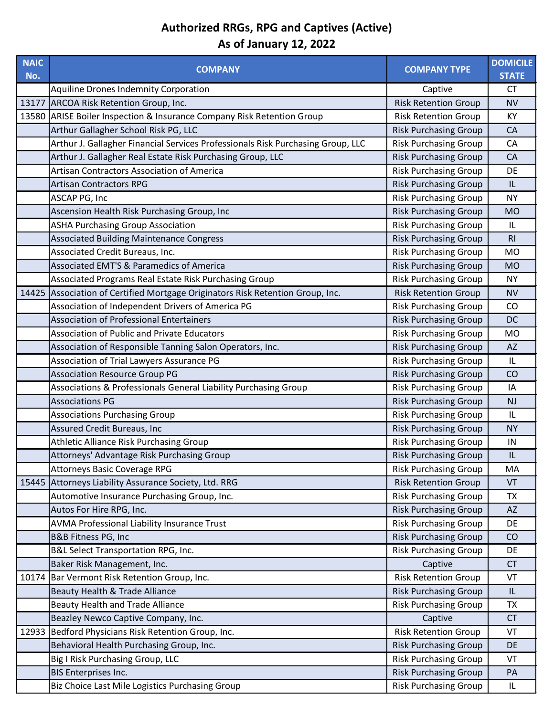| <b>NAIC</b> |                                                                                 | <b>COMPANY TYPE</b>          | <b>DOMICILE</b> |
|-------------|---------------------------------------------------------------------------------|------------------------------|-----------------|
| No.         | <b>COMPANY</b>                                                                  |                              | <b>STATE</b>    |
|             | <b>Aquiline Drones Indemnity Corporation</b>                                    | Captive                      | <b>CT</b>       |
| 13177       | ARCOA Risk Retention Group, Inc.                                                | <b>Risk Retention Group</b>  | <b>NV</b>       |
| 13580       | ARISE Boiler Inspection & Insurance Company Risk Retention Group                | <b>Risk Retention Group</b>  | KY              |
|             | Arthur Gallagher School Risk PG, LLC                                            | <b>Risk Purchasing Group</b> | CA              |
|             | Arthur J. Gallagher Financial Services Professionals Risk Purchasing Group, LLC | <b>Risk Purchasing Group</b> | CA              |
|             | Arthur J. Gallagher Real Estate Risk Purchasing Group, LLC                      | <b>Risk Purchasing Group</b> | CA              |
|             | <b>Artisan Contractors Association of America</b>                               | <b>Risk Purchasing Group</b> | DE              |
|             | <b>Artisan Contractors RPG</b>                                                  | <b>Risk Purchasing Group</b> | IL              |
|             | ASCAP PG, Inc                                                                   | <b>Risk Purchasing Group</b> | <b>NY</b>       |
|             | Ascension Health Risk Purchasing Group, Inc                                     | <b>Risk Purchasing Group</b> | <b>MO</b>       |
|             | <b>ASHA Purchasing Group Association</b>                                        | <b>Risk Purchasing Group</b> | IL              |
|             | <b>Associated Building Maintenance Congress</b>                                 | <b>Risk Purchasing Group</b> | R1              |
|             | Associated Credit Bureaus, Inc.                                                 | <b>Risk Purchasing Group</b> | <b>MO</b>       |
|             | Associated EMT'S & Paramedics of America                                        | <b>Risk Purchasing Group</b> | <b>MO</b>       |
|             | Associated Programs Real Estate Risk Purchasing Group                           | <b>Risk Purchasing Group</b> | <b>NY</b>       |
| 14425       | Association of Certified Mortgage Originators Risk Retention Group, Inc.        | <b>Risk Retention Group</b>  | <b>NV</b>       |
|             | Association of Independent Drivers of America PG                                | <b>Risk Purchasing Group</b> | CO              |
|             | <b>Association of Professional Entertainers</b>                                 | <b>Risk Purchasing Group</b> | <b>DC</b>       |
|             | <b>Association of Public and Private Educators</b>                              | <b>Risk Purchasing Group</b> | <b>MO</b>       |
|             | Association of Responsible Tanning Salon Operators, Inc.                        | <b>Risk Purchasing Group</b> | <b>AZ</b>       |
|             | Association of Trial Lawyers Assurance PG                                       | <b>Risk Purchasing Group</b> | IL              |
|             | <b>Association Resource Group PG</b>                                            | <b>Risk Purchasing Group</b> | CO              |
|             | Associations & Professionals General Liability Purchasing Group                 | <b>Risk Purchasing Group</b> | IA              |
|             | <b>Associations PG</b>                                                          | <b>Risk Purchasing Group</b> | <b>NJ</b>       |
|             | <b>Associations Purchasing Group</b>                                            | <b>Risk Purchasing Group</b> | IL              |
|             | <b>Assured Credit Bureaus, Inc</b>                                              | <b>Risk Purchasing Group</b> | <b>NY</b>       |
|             | Athletic Alliance Risk Purchasing Group                                         | <b>Risk Purchasing Group</b> | IN              |
|             | Attorneys' Advantage Risk Purchasing Group                                      | <b>Risk Purchasing Group</b> | IL              |
|             | <b>Attorneys Basic Coverage RPG</b>                                             | <b>Risk Purchasing Group</b> | МA              |
| 15445       | Attorneys Liability Assurance Society, Ltd. RRG                                 | <b>Risk Retention Group</b>  | VT              |
|             | Automotive Insurance Purchasing Group, Inc.                                     | <b>Risk Purchasing Group</b> | <b>TX</b>       |
|             | Autos For Hire RPG, Inc.                                                        | <b>Risk Purchasing Group</b> | <b>AZ</b>       |
|             | AVMA Professional Liability Insurance Trust                                     | <b>Risk Purchasing Group</b> | DE              |
|             | <b>B&amp;B Fitness PG, Inc</b>                                                  | <b>Risk Purchasing Group</b> | CO              |
|             | B&L Select Transportation RPG, Inc.                                             | <b>Risk Purchasing Group</b> | DE              |
|             | Baker Risk Management, Inc.                                                     | Captive                      | <b>CT</b>       |
| 10174       | Bar Vermont Risk Retention Group, Inc.                                          | <b>Risk Retention Group</b>  | VT              |
|             | Beauty Health & Trade Alliance                                                  | <b>Risk Purchasing Group</b> | IL              |
|             | Beauty Health and Trade Alliance                                                | <b>Risk Purchasing Group</b> | <b>TX</b>       |
|             | Beazley Newco Captive Company, Inc.                                             | Captive                      | <b>CT</b>       |
| 12933       | Bedford Physicians Risk Retention Group, Inc.                                   | <b>Risk Retention Group</b>  | VT              |
|             | Behavioral Health Purchasing Group, Inc.                                        | <b>Risk Purchasing Group</b> | DE              |
|             | Big I Risk Purchasing Group, LLC                                                | <b>Risk Purchasing Group</b> | VT              |
|             | BIS Enterprises Inc.                                                            | <b>Risk Purchasing Group</b> | PA              |
|             | Biz Choice Last Mile Logistics Purchasing Group                                 | <b>Risk Purchasing Group</b> | IL              |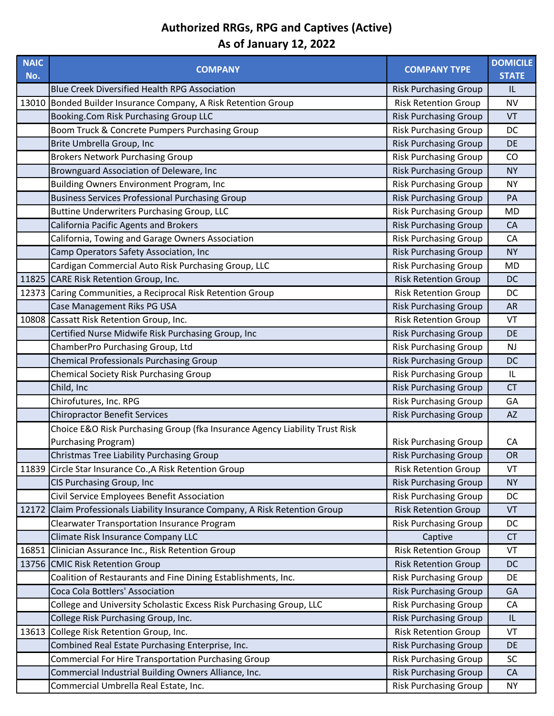| <b>NAIC</b> |                                                                             | <b>COMPANY TYPE</b>          | <b>DOMICILE</b> |
|-------------|-----------------------------------------------------------------------------|------------------------------|-----------------|
| No.         | <b>COMPANY</b>                                                              |                              | <b>STATE</b>    |
|             | <b>Blue Creek Diversified Health RPG Association</b>                        | <b>Risk Purchasing Group</b> | IL              |
| 13010       | Bonded Builder Insurance Company, A Risk Retention Group                    | <b>Risk Retention Group</b>  | <b>NV</b>       |
|             | Booking.Com Risk Purchasing Group LLC                                       | <b>Risk Purchasing Group</b> | VT              |
|             | Boom Truck & Concrete Pumpers Purchasing Group                              | <b>Risk Purchasing Group</b> | DC              |
|             | Brite Umbrella Group, Inc                                                   | <b>Risk Purchasing Group</b> | DE              |
|             | <b>Brokers Network Purchasing Group</b>                                     | <b>Risk Purchasing Group</b> | CO              |
|             | Brownguard Association of Deleware, Inc                                     | <b>Risk Purchasing Group</b> | <b>NY</b>       |
|             | Building Owners Environment Program, Inc                                    | <b>Risk Purchasing Group</b> | <b>NY</b>       |
|             | <b>Business Services Professional Purchasing Group</b>                      | <b>Risk Purchasing Group</b> | PA              |
|             | Buttine Underwriters Purchasing Group, LLC                                  | <b>Risk Purchasing Group</b> | <b>MD</b>       |
|             | <b>California Pacific Agents and Brokers</b>                                | <b>Risk Purchasing Group</b> | CA              |
|             | California, Towing and Garage Owners Association                            | <b>Risk Purchasing Group</b> | CA              |
|             | Camp Operators Safety Association, Inc                                      | <b>Risk Purchasing Group</b> | <b>NY</b>       |
|             | Cardigan Commercial Auto Risk Purchasing Group, LLC                         | <b>Risk Purchasing Group</b> | <b>MD</b>       |
| 11825       | CARE Risk Retention Group, Inc.                                             | <b>Risk Retention Group</b>  | <b>DC</b>       |
| 12373       | Caring Communities, a Reciprocal Risk Retention Group                       | <b>Risk Retention Group</b>  | DC              |
|             | Case Management Riks PG USA                                                 | <b>Risk Purchasing Group</b> | <b>AR</b>       |
| 10808       | Cassatt Risk Retention Group, Inc.                                          | <b>Risk Retention Group</b>  | VT              |
|             | Certified Nurse Midwife Risk Purchasing Group, Inc                          | <b>Risk Purchasing Group</b> | <b>DE</b>       |
|             | ChamberPro Purchasing Group, Ltd                                            | <b>Risk Purchasing Group</b> | NJ              |
|             | <b>Chemical Professionals Purchasing Group</b>                              | <b>Risk Purchasing Group</b> | <b>DC</b>       |
|             | <b>Chemical Society Risk Purchasing Group</b>                               | <b>Risk Purchasing Group</b> | IL              |
|             | Child, Inc                                                                  | <b>Risk Purchasing Group</b> | <b>CT</b>       |
|             | Chirofutures, Inc. RPG                                                      | <b>Risk Purchasing Group</b> | GA              |
|             | <b>Chiropractor Benefit Services</b>                                        | <b>Risk Purchasing Group</b> | <b>AZ</b>       |
|             | Choice E&O Risk Purchasing Group (fka Insurance Agency Liability Trust Risk |                              |                 |
|             | <b>Purchasing Program)</b>                                                  | <b>Risk Purchasing Group</b> | CA              |
|             | Christmas Tree Liability Purchasing Group                                   | <b>Risk Purchasing Group</b> | OR              |
| 11839       | Circle Star Insurance Co., A Risk Retention Group                           | <b>Risk Retention Group</b>  | VT              |
|             | CIS Purchasing Group, Inc                                                   | <b>Risk Purchasing Group</b> | <b>NY</b>       |
|             | Civil Service Employees Benefit Association                                 | <b>Risk Purchasing Group</b> | DC              |
| 12172       | Claim Professionals Liability Insurance Company, A Risk Retention Group     | <b>Risk Retention Group</b>  | VT              |
|             | <b>Clearwater Transportation Insurance Program</b>                          | <b>Risk Purchasing Group</b> | DC              |
|             | Climate Risk Insurance Company LLC                                          | Captive                      | <b>CT</b>       |
| 16851       | Clinician Assurance Inc., Risk Retention Group                              | <b>Risk Retention Group</b>  | VT              |
|             | 13756 CMIC Risk Retention Group                                             | <b>Risk Retention Group</b>  | <b>DC</b>       |
|             | Coalition of Restaurants and Fine Dining Establishments, Inc.               | <b>Risk Purchasing Group</b> | DE              |
|             | Coca Cola Bottlers' Association                                             | <b>Risk Purchasing Group</b> | GA              |
|             | College and University Scholastic Excess Risk Purchasing Group, LLC         | <b>Risk Purchasing Group</b> | CA              |
|             | College Risk Purchasing Group, Inc.                                         | <b>Risk Purchasing Group</b> | IL              |
| 13613       | College Risk Retention Group, Inc.                                          | <b>Risk Retention Group</b>  | VT              |
|             | Combined Real Estate Purchasing Enterprise, Inc.                            | <b>Risk Purchasing Group</b> | DE              |
|             | Commercial For Hire Transportation Purchasing Group                         | <b>Risk Purchasing Group</b> | <b>SC</b>       |
|             | Commercial Industrial Building Owners Alliance, Inc.                        | <b>Risk Purchasing Group</b> | CA              |
|             | Commercial Umbrella Real Estate, Inc.                                       | <b>Risk Purchasing Group</b> | <b>NY</b>       |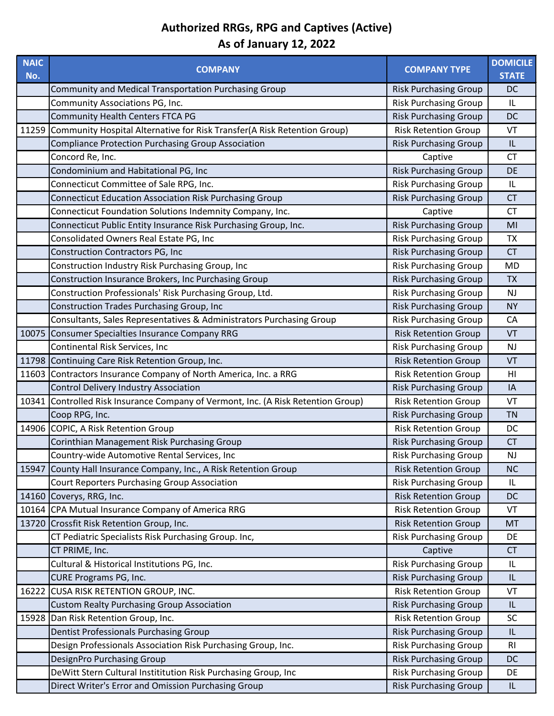| <b>NAIC</b> |                                                                             | <b>COMPANY TYPE</b>          | <b>DOMICILE</b> |
|-------------|-----------------------------------------------------------------------------|------------------------------|-----------------|
| No.         | <b>COMPANY</b>                                                              |                              | <b>STATE</b>    |
|             | <b>Community and Medical Transportation Purchasing Group</b>                | <b>Risk Purchasing Group</b> | <b>DC</b>       |
|             | Community Associations PG, Inc.                                             | <b>Risk Purchasing Group</b> | IL              |
|             | Community Health Centers FTCA PG                                            | <b>Risk Purchasing Group</b> | <b>DC</b>       |
| 11259       | Community Hospital Alternative for Risk Transfer(A Risk Retention Group)    | <b>Risk Retention Group</b>  | VT              |
|             | <b>Compliance Protection Purchasing Group Association</b>                   | <b>Risk Purchasing Group</b> | IL              |
|             | Concord Re, Inc.                                                            | Captive                      | <b>CT</b>       |
|             | Condominium and Habitational PG, Inc                                        | <b>Risk Purchasing Group</b> | DE              |
|             | Connecticut Committee of Sale RPG, Inc.                                     | <b>Risk Purchasing Group</b> | IL              |
|             | <b>Connecticut Education Association Risk Purchasing Group</b>              | <b>Risk Purchasing Group</b> | <b>CT</b>       |
|             | Connecticut Foundation Solutions Indemnity Company, Inc.                    | Captive                      | <b>CT</b>       |
|             | Connecticut Public Entity Insurance Risk Purchasing Group, Inc.             | <b>Risk Purchasing Group</b> | MI              |
|             | Consolidated Owners Real Estate PG, Inc                                     | <b>Risk Purchasing Group</b> | <b>TX</b>       |
|             | Construction Contractors PG, Inc                                            | <b>Risk Purchasing Group</b> | <b>CT</b>       |
|             | Construction Industry Risk Purchasing Group, Inc                            | <b>Risk Purchasing Group</b> | <b>MD</b>       |
|             | Construction Insurance Brokers, Inc Purchasing Group                        | <b>Risk Purchasing Group</b> | <b>TX</b>       |
|             | Construction Professionals' Risk Purchasing Group, Ltd.                     | <b>Risk Purchasing Group</b> | NJ              |
|             | Construction Trades Purchasing Group, Inc                                   | <b>Risk Purchasing Group</b> | <b>NY</b>       |
|             | Consultants, Sales Representatives & Administrators Purchasing Group        | <b>Risk Purchasing Group</b> | CA              |
| 10075       | Consumer Specialties Insurance Company RRG                                  | <b>Risk Retention Group</b>  | VT              |
|             | Continental Risk Services, Inc                                              | <b>Risk Purchasing Group</b> | <b>NJ</b>       |
| 11798       | Continuing Care Risk Retention Group, Inc.                                  | <b>Risk Retention Group</b>  | VT              |
| 11603       | Contractors Insurance Company of North America, Inc. a RRG                  | <b>Risk Retention Group</b>  | HI              |
|             | Control Delivery Industry Association                                       | <b>Risk Purchasing Group</b> | IA              |
| 10341       | Controlled Risk Insurance Company of Vermont, Inc. (A Risk Retention Group) | <b>Risk Retention Group</b>  | VT              |
|             | Coop RPG, Inc.                                                              | <b>Risk Purchasing Group</b> | <b>TN</b>       |
| 14906       | COPIC, A Risk Retention Group                                               | <b>Risk Retention Group</b>  | DC              |
|             | Corinthian Management Risk Purchasing Group                                 | <b>Risk Purchasing Group</b> | <b>CT</b>       |
|             | Country-wide Automotive Rental Services, Inc                                | <b>Risk Purchasing Group</b> | <b>NJ</b>       |
| 15947       | County Hall Insurance Company, Inc., A Risk Retention Group                 | <b>Risk Retention Group</b>  | <b>NC</b>       |
|             | Court Reporters Purchasing Group Association                                | <b>Risk Purchasing Group</b> | IL              |
| 14160       | Coverys, RRG, Inc.                                                          | <b>Risk Retention Group</b>  | DC              |
| 10164       | CPA Mutual Insurance Company of America RRG                                 | <b>Risk Retention Group</b>  | VT              |
| 13720       | Crossfit Risk Retention Group, Inc.                                         | <b>Risk Retention Group</b>  | MT              |
|             | CT Pediatric Specialists Risk Purchasing Group. Inc,                        | <b>Risk Purchasing Group</b> | DE              |
|             | CT PRIME, Inc.                                                              | Captive                      | <b>CT</b>       |
|             | Cultural & Historical Institutions PG, Inc.                                 | <b>Risk Purchasing Group</b> | IL              |
|             | CURE Programs PG, Inc.                                                      | <b>Risk Purchasing Group</b> | IL              |
| 16222       | CUSA RISK RETENTION GROUP, INC.                                             | <b>Risk Retention Group</b>  | VT              |
|             | <b>Custom Realty Purchasing Group Association</b>                           | <b>Risk Purchasing Group</b> | IL              |
| 15928       | Dan Risk Retention Group, Inc.                                              | <b>Risk Retention Group</b>  | SC              |
|             | Dentist Professionals Purchasing Group                                      | <b>Risk Purchasing Group</b> | IL              |
|             | Design Professionals Association Risk Purchasing Group, Inc.                | <b>Risk Purchasing Group</b> | R1              |
|             | DesignPro Purchasing Group                                                  | <b>Risk Purchasing Group</b> | DC              |
|             | DeWitt Stern Cultural Instititution Risk Purchasing Group, Inc              | <b>Risk Purchasing Group</b> | DE              |
|             | Direct Writer's Error and Omission Purchasing Group                         | <b>Risk Purchasing Group</b> | IL              |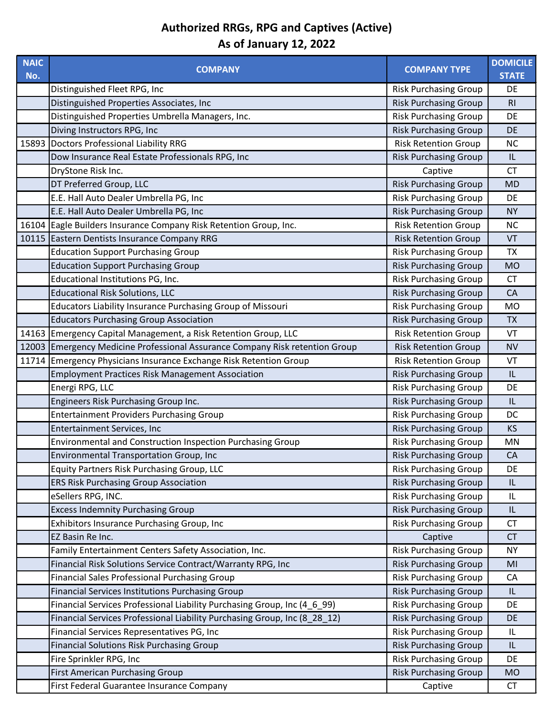| <b>NAIC</b> |                                                                           | <b>COMPANY TYPE</b>          | <b>DOMICILE</b> |
|-------------|---------------------------------------------------------------------------|------------------------------|-----------------|
| No.         | <b>COMPANY</b>                                                            |                              | <b>STATE</b>    |
|             | Distinguished Fleet RPG, Inc                                              | <b>Risk Purchasing Group</b> | DE              |
|             | Distinguished Properties Associates, Inc                                  | <b>Risk Purchasing Group</b> | R1              |
|             | Distinguished Properties Umbrella Managers, Inc.                          | <b>Risk Purchasing Group</b> | DE              |
|             | Diving Instructors RPG, Inc                                               | <b>Risk Purchasing Group</b> | <b>DE</b>       |
| 15893       | <b>Doctors Professional Liability RRG</b>                                 | <b>Risk Retention Group</b>  | <b>NC</b>       |
|             | Dow Insurance Real Estate Professionals RPG, Inc                          | <b>Risk Purchasing Group</b> | IL              |
|             | DryStone Risk Inc.                                                        | Captive                      | <b>CT</b>       |
|             | DT Preferred Group, LLC                                                   | <b>Risk Purchasing Group</b> | <b>MD</b>       |
|             | E.E. Hall Auto Dealer Umbrella PG, Inc                                    | <b>Risk Purchasing Group</b> | DE              |
|             | E.E. Hall Auto Dealer Umbrella PG, Inc                                    | <b>Risk Purchasing Group</b> | <b>NY</b>       |
| 16104       | Eagle Builders Insurance Company Risk Retention Group, Inc.               | <b>Risk Retention Group</b>  | <b>NC</b>       |
| 10115       | Eastern Dentists Insurance Company RRG                                    | <b>Risk Retention Group</b>  | VT              |
|             | <b>Education Support Purchasing Group</b>                                 | <b>Risk Purchasing Group</b> | <b>TX</b>       |
|             | <b>Education Support Purchasing Group</b>                                 | <b>Risk Purchasing Group</b> | <b>MO</b>       |
|             | Educational Institutions PG, Inc.                                         | <b>Risk Purchasing Group</b> | <b>CT</b>       |
|             | <b>Educational Risk Solutions, LLC</b>                                    | <b>Risk Purchasing Group</b> | CA              |
|             | Educators Liability Insurance Purchasing Group of Missouri                | <b>Risk Purchasing Group</b> | <b>MO</b>       |
|             | <b>Educators Purchasing Group Association</b>                             | <b>Risk Purchasing Group</b> | <b>TX</b>       |
| 14163       | Emergency Capital Management, a Risk Retention Group, LLC                 | <b>Risk Retention Group</b>  | VT              |
| 12003       | Emergency Medicine Professional Assurance Company Risk retention Group    | <b>Risk Retention Group</b>  | <b>NV</b>       |
| 11714       | Emergency Physicians Insurance Exchange Risk Retention Group              | <b>Risk Retention Group</b>  | VT              |
|             | <b>Employment Practices Risk Management Association</b>                   | <b>Risk Purchasing Group</b> | IL              |
|             | Energi RPG, LLC                                                           | <b>Risk Purchasing Group</b> | DE              |
|             | Engineers Risk Purchasing Group Inc.                                      | <b>Risk Purchasing Group</b> | IL              |
|             | <b>Entertainment Providers Purchasing Group</b>                           | <b>Risk Purchasing Group</b> | DC              |
|             | Entertainment Services, Inc                                               | <b>Risk Purchasing Group</b> | KS              |
|             | Environmental and Construction Inspection Purchasing Group                | <b>Risk Purchasing Group</b> | MN              |
|             | Environmental Transportation Group, Inc                                   | <b>Risk Purchasing Group</b> | <b>CA</b>       |
|             | Equity Partners Risk Purchasing Group, LLC                                | <b>Risk Purchasing Group</b> | DE              |
|             | <b>ERS Risk Purchasing Group Association</b>                              | <b>Risk Purchasing Group</b> | IL              |
|             | eSellers RPG, INC.                                                        | <b>Risk Purchasing Group</b> | IL              |
|             | <b>Excess Indemnity Purchasing Group</b>                                  | <b>Risk Purchasing Group</b> | IL              |
|             | Exhibitors Insurance Purchasing Group, Inc                                | <b>Risk Purchasing Group</b> | <b>CT</b>       |
|             | EZ Basin Re Inc.                                                          | Captive                      | <b>CT</b>       |
|             | Family Entertainment Centers Safety Association, Inc.                     | <b>Risk Purchasing Group</b> | <b>NY</b>       |
|             | Financial Risk Solutions Service Contract/Warranty RPG, Inc               | <b>Risk Purchasing Group</b> | MI              |
|             | <b>Financial Sales Professional Purchasing Group</b>                      | <b>Risk Purchasing Group</b> | CA              |
|             | Financial Services Institutions Purchasing Group                          | <b>Risk Purchasing Group</b> | IL              |
|             | Financial Services Professional Liability Purchasing Group, Inc (4_6_99)  | <b>Risk Purchasing Group</b> | DE              |
|             | Financial Services Professional Liability Purchasing Group, Inc (8_28_12) | <b>Risk Purchasing Group</b> | DE              |
|             | Financial Services Representatives PG, Inc                                | <b>Risk Purchasing Group</b> | IL              |
|             | <b>Financial Solutions Risk Purchasing Group</b>                          | <b>Risk Purchasing Group</b> | IL              |
|             | Fire Sprinkler RPG, Inc                                                   | <b>Risk Purchasing Group</b> | DE              |
|             | <b>First American Purchasing Group</b>                                    | <b>Risk Purchasing Group</b> | <b>MO</b>       |
|             | First Federal Guarantee Insurance Company                                 | Captive                      | CT              |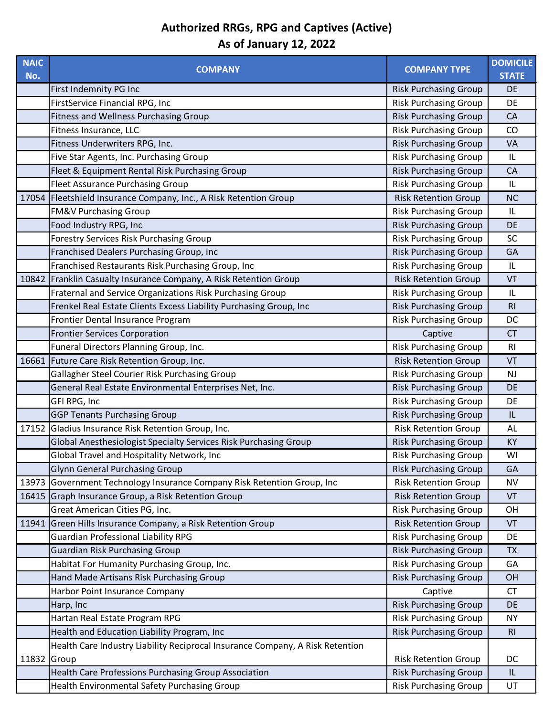| <b>NAIC</b> |                                                                               | <b>COMPANY TYPE</b>          | <b>DOMICILE</b> |
|-------------|-------------------------------------------------------------------------------|------------------------------|-----------------|
| No.         | <b>COMPANY</b>                                                                |                              | <b>STATE</b>    |
|             | First Indemnity PG Inc                                                        | <b>Risk Purchasing Group</b> | DE              |
|             | FirstService Financial RPG, Inc                                               | <b>Risk Purchasing Group</b> | DE              |
|             | Fitness and Wellness Purchasing Group                                         | <b>Risk Purchasing Group</b> | <b>CA</b>       |
|             | Fitness Insurance, LLC                                                        | <b>Risk Purchasing Group</b> | CO              |
|             | Fitness Underwriters RPG, Inc.                                                | <b>Risk Purchasing Group</b> | VA              |
|             | Five Star Agents, Inc. Purchasing Group                                       | <b>Risk Purchasing Group</b> | IL              |
|             | Fleet & Equipment Rental Risk Purchasing Group                                | <b>Risk Purchasing Group</b> | CA              |
|             | Fleet Assurance Purchasing Group                                              | <b>Risk Purchasing Group</b> | IL              |
| 17054       | Fleetshield Insurance Company, Inc., A Risk Retention Group                   | <b>Risk Retention Group</b>  | <b>NC</b>       |
|             | <b>FM&amp;V Purchasing Group</b>                                              | <b>Risk Purchasing Group</b> | IL              |
|             | Food Industry RPG, Inc                                                        | <b>Risk Purchasing Group</b> | DE              |
|             | <b>Forestry Services Risk Purchasing Group</b>                                | <b>Risk Purchasing Group</b> | SC              |
|             | Franchised Dealers Purchasing Group, Inc                                      | <b>Risk Purchasing Group</b> | GA              |
|             | Franchised Restaurants Risk Purchasing Group, Inc                             | <b>Risk Purchasing Group</b> | IL              |
| 10842       | Franklin Casualty Insurance Company, A Risk Retention Group                   | <b>Risk Retention Group</b>  | VT              |
|             | Fraternal and Service Organizations Risk Purchasing Group                     | <b>Risk Purchasing Group</b> | IL              |
|             | Frenkel Real Estate Clients Excess Liability Purchasing Group, Inc            | <b>Risk Purchasing Group</b> | RI              |
|             | Frontier Dental Insurance Program                                             | <b>Risk Purchasing Group</b> | DC              |
|             | <b>Frontier Services Corporation</b>                                          | Captive                      | <b>CT</b>       |
|             | Funeral Directors Planning Group, Inc.                                        | <b>Risk Purchasing Group</b> | <b>RI</b>       |
| 16661       | Future Care Risk Retention Group, Inc.                                        | <b>Risk Retention Group</b>  | VT              |
|             | Gallagher Steel Courier Risk Purchasing Group                                 | <b>Risk Purchasing Group</b> | <b>NJ</b>       |
|             | General Real Estate Environmental Enterprises Net, Inc.                       | <b>Risk Purchasing Group</b> | DE              |
|             | GFI RPG, Inc                                                                  | <b>Risk Purchasing Group</b> | DE              |
|             | <b>GGP Tenants Purchasing Group</b>                                           | <b>Risk Purchasing Group</b> | IL              |
| 17152       | Gladius Insurance Risk Retention Group, Inc.                                  | <b>Risk Retention Group</b>  | AL              |
|             | Global Anesthesiologist Specialty Services Risk Purchasing Group              | <b>Risk Purchasing Group</b> | KY              |
|             | Global Travel and Hospitality Network, Inc                                    | <b>Risk Purchasing Group</b> | WI              |
|             | <b>Glynn General Purchasing Group</b>                                         | <b>Risk Purchasing Group</b> | GA              |
| 13973       | Government Technology Insurance Company Risk Retention Group, Inc             | <b>Risk Retention Group</b>  | <b>NV</b>       |
| 16415       | Graph Insurance Group, a Risk Retention Group                                 | <b>Risk Retention Group</b>  | VT              |
|             | Great American Cities PG, Inc.                                                | <b>Risk Purchasing Group</b> | OH              |
| 11941       | Green Hills Insurance Company, a Risk Retention Group                         | <b>Risk Retention Group</b>  | VT              |
|             | <b>Guardian Professional Liability RPG</b>                                    | <b>Risk Purchasing Group</b> | DE              |
|             | <b>Guardian Risk Purchasing Group</b>                                         | <b>Risk Purchasing Group</b> | <b>TX</b>       |
|             | Habitat For Humanity Purchasing Group, Inc.                                   | <b>Risk Purchasing Group</b> | GA              |
|             | Hand Made Artisans Risk Purchasing Group                                      | <b>Risk Purchasing Group</b> | OH              |
|             | Harbor Point Insurance Company                                                | Captive                      | <b>CT</b>       |
|             | Harp, Inc                                                                     | <b>Risk Purchasing Group</b> | DE              |
|             | Hartan Real Estate Program RPG                                                | <b>Risk Purchasing Group</b> | <b>NY</b>       |
|             | Health and Education Liability Program, Inc                                   | <b>Risk Purchasing Group</b> | RI              |
|             | Health Care Industry Liability Reciprocal Insurance Company, A Risk Retention |                              |                 |
| 11832       | Group                                                                         | <b>Risk Retention Group</b>  | DC              |
|             | Health Care Professions Purchasing Group Association                          | <b>Risk Purchasing Group</b> | IL              |
|             | Health Environmental Safety Purchasing Group                                  | <b>Risk Purchasing Group</b> | UT              |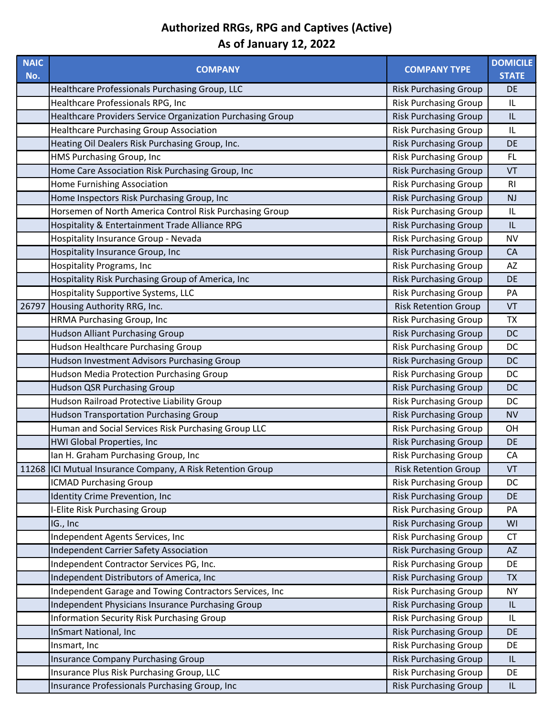| <b>NAIC</b> |                                                            | <b>COMPANY TYPE</b>          | <b>DOMICILE</b> |
|-------------|------------------------------------------------------------|------------------------------|-----------------|
| No.         | <b>COMPANY</b>                                             |                              | <b>STATE</b>    |
|             | Healthcare Professionals Purchasing Group, LLC             | <b>Risk Purchasing Group</b> | DE              |
|             | Healthcare Professionals RPG, Inc                          | <b>Risk Purchasing Group</b> | IL              |
|             | Healthcare Providers Service Organization Purchasing Group | <b>Risk Purchasing Group</b> | IL              |
|             | <b>Healthcare Purchasing Group Association</b>             | <b>Risk Purchasing Group</b> | IL              |
|             | Heating Oil Dealers Risk Purchasing Group, Inc.            | <b>Risk Purchasing Group</b> | <b>DE</b>       |
|             | HMS Purchasing Group, Inc                                  | <b>Risk Purchasing Group</b> | <b>FL</b>       |
|             | Home Care Association Risk Purchasing Group, Inc           | <b>Risk Purchasing Group</b> | VT              |
|             | Home Furnishing Association                                | <b>Risk Purchasing Group</b> | <b>RI</b>       |
|             | Home Inspectors Risk Purchasing Group, Inc                 | <b>Risk Purchasing Group</b> | <b>NJ</b>       |
|             | Horsemen of North America Control Risk Purchasing Group    | <b>Risk Purchasing Group</b> | IL              |
|             | Hospitality & Entertainment Trade Alliance RPG             | <b>Risk Purchasing Group</b> | IL              |
|             | Hospitality Insurance Group - Nevada                       | <b>Risk Purchasing Group</b> | <b>NV</b>       |
|             | Hospitality Insurance Group, Inc                           | <b>Risk Purchasing Group</b> | <b>CA</b>       |
|             | <b>Hospitality Programs, Inc</b>                           | <b>Risk Purchasing Group</b> | AZ              |
|             | Hospitality Risk Purchasing Group of America, Inc          | <b>Risk Purchasing Group</b> | <b>DE</b>       |
|             | Hospitality Supportive Systems, LLC                        | <b>Risk Purchasing Group</b> | PA              |
| 26797       | Housing Authority RRG, Inc.                                | <b>Risk Retention Group</b>  | VT              |
|             | HRMA Purchasing Group, Inc                                 | <b>Risk Purchasing Group</b> | <b>TX</b>       |
|             | <b>Hudson Alliant Purchasing Group</b>                     | <b>Risk Purchasing Group</b> | <b>DC</b>       |
|             | Hudson Healthcare Purchasing Group                         | <b>Risk Purchasing Group</b> | DC              |
|             | Hudson Investment Advisors Purchasing Group                | <b>Risk Purchasing Group</b> | <b>DC</b>       |
|             | <b>Hudson Media Protection Purchasing Group</b>            | <b>Risk Purchasing Group</b> | DC              |
|             | <b>Hudson QSR Purchasing Group</b>                         | <b>Risk Purchasing Group</b> | DC              |
|             | Hudson Railroad Protective Liability Group                 | <b>Risk Purchasing Group</b> | DC              |
|             | <b>Hudson Transportation Purchasing Group</b>              | <b>Risk Purchasing Group</b> | <b>NV</b>       |
|             | Human and Social Services Risk Purchasing Group LLC        | <b>Risk Purchasing Group</b> | OH              |
|             | HWI Global Properties, Inc                                 | <b>Risk Purchasing Group</b> | DE              |
|             | Ian H. Graham Purchasing Group, Inc                        | <b>Risk Purchasing Group</b> | CA              |
|             | 11268 ICI Mutual Insurance Company, A Risk Retention Group | <b>Risk Retention Group</b>  | VT              |
|             | <b>ICMAD Purchasing Group</b>                              | <b>Risk Purchasing Group</b> | DC              |
|             | <b>Identity Crime Prevention, Inc</b>                      | <b>Risk Purchasing Group</b> | DE              |
|             | I-Elite Risk Purchasing Group                              | <b>Risk Purchasing Group</b> | PA              |
|             | IG., Inc                                                   | <b>Risk Purchasing Group</b> | WI              |
|             | Independent Agents Services, Inc                           | <b>Risk Purchasing Group</b> | <b>CT</b>       |
|             | <b>Independent Carrier Safety Association</b>              | <b>Risk Purchasing Group</b> | <b>AZ</b>       |
|             | Independent Contractor Services PG, Inc.                   | <b>Risk Purchasing Group</b> | DE              |
|             | Independent Distributors of America, Inc                   | <b>Risk Purchasing Group</b> | <b>TX</b>       |
|             | Independent Garage and Towing Contractors Services, Inc    | <b>Risk Purchasing Group</b> | <b>NY</b>       |
|             | Independent Physicians Insurance Purchasing Group          | <b>Risk Purchasing Group</b> | IL              |
|             | <b>Information Security Risk Purchasing Group</b>          | <b>Risk Purchasing Group</b> | IL              |
|             | <b>InSmart National, Inc</b>                               | <b>Risk Purchasing Group</b> | DE              |
|             | Insmart, Inc                                               | <b>Risk Purchasing Group</b> | DE              |
|             | <b>Insurance Company Purchasing Group</b>                  | <b>Risk Purchasing Group</b> | IL              |
|             | Insurance Plus Risk Purchasing Group, LLC                  | <b>Risk Purchasing Group</b> | DE              |
|             | Insurance Professionals Purchasing Group, Inc              | <b>Risk Purchasing Group</b> | IL              |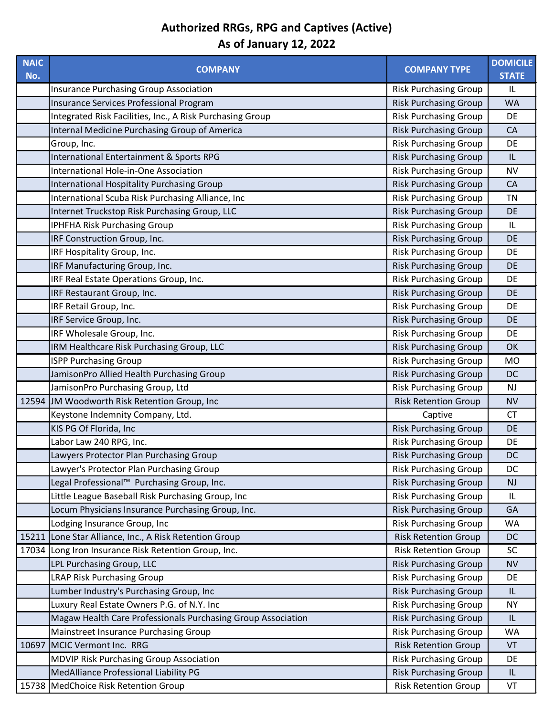| <b>NAIC</b> |                                                              | <b>COMPANY TYPE</b>          | <b>DOMICILE</b> |
|-------------|--------------------------------------------------------------|------------------------------|-----------------|
| No.         | <b>COMPANY</b>                                               |                              | <b>STATE</b>    |
|             | <b>Insurance Purchasing Group Association</b>                | <b>Risk Purchasing Group</b> | IL              |
|             | <b>Insurance Services Professional Program</b>               | <b>Risk Purchasing Group</b> | <b>WA</b>       |
|             | Integrated Risk Facilities, Inc., A Risk Purchasing Group    | <b>Risk Purchasing Group</b> | DE              |
|             | Internal Medicine Purchasing Group of America                | <b>Risk Purchasing Group</b> | CA              |
|             | Group, Inc.                                                  | <b>Risk Purchasing Group</b> | DE              |
|             | International Entertainment & Sports RPG                     | <b>Risk Purchasing Group</b> | IL              |
|             | <b>International Hole-in-One Association</b>                 | <b>Risk Purchasing Group</b> | <b>NV</b>       |
|             | International Hospitality Purchasing Group                   | <b>Risk Purchasing Group</b> | CA              |
|             | International Scuba Risk Purchasing Alliance, Inc            | <b>Risk Purchasing Group</b> | <b>TN</b>       |
|             | Internet Truckstop Risk Purchasing Group, LLC                | <b>Risk Purchasing Group</b> | <b>DE</b>       |
|             | <b>IPHFHA Risk Purchasing Group</b>                          | <b>Risk Purchasing Group</b> | IL              |
|             | IRF Construction Group, Inc.                                 | <b>Risk Purchasing Group</b> | <b>DE</b>       |
|             | IRF Hospitality Group, Inc.                                  | <b>Risk Purchasing Group</b> | DE              |
|             | IRF Manufacturing Group, Inc.                                | <b>Risk Purchasing Group</b> | <b>DE</b>       |
|             | IRF Real Estate Operations Group, Inc.                       | <b>Risk Purchasing Group</b> | DE              |
|             | IRF Restaurant Group, Inc.                                   | <b>Risk Purchasing Group</b> | <b>DE</b>       |
|             | IRF Retail Group, Inc.                                       | <b>Risk Purchasing Group</b> | DE              |
|             | IRF Service Group, Inc.                                      | <b>Risk Purchasing Group</b> | <b>DE</b>       |
|             | IRF Wholesale Group, Inc.                                    | <b>Risk Purchasing Group</b> | DE              |
|             | IRM Healthcare Risk Purchasing Group, LLC                    | <b>Risk Purchasing Group</b> | OK              |
|             | <b>ISPP Purchasing Group</b>                                 | <b>Risk Purchasing Group</b> | <b>MO</b>       |
|             | JamisonPro Allied Health Purchasing Group                    | <b>Risk Purchasing Group</b> | <b>DC</b>       |
|             | JamisonPro Purchasing Group, Ltd                             | <b>Risk Purchasing Group</b> | NJ              |
|             | 12594 JM Woodworth Risk Retention Group, Inc                 | <b>Risk Retention Group</b>  | <b>NV</b>       |
|             | Keystone Indemnity Company, Ltd.                             | Captive                      | <b>CT</b>       |
|             | KIS PG Of Florida, Inc                                       | <b>Risk Purchasing Group</b> | <b>DE</b>       |
|             | Labor Law 240 RPG, Inc.                                      | <b>Risk Purchasing Group</b> | DE              |
|             | Lawyers Protector Plan Purchasing Group                      | <b>Risk Purchasing Group</b> | <b>DC</b>       |
|             | Lawyer's Protector Plan Purchasing Group                     | <b>Risk Purchasing Group</b> | DC              |
|             | Legal Professional <sup>™</sup> Purchasing Group, Inc.       | <b>Risk Purchasing Group</b> | <b>NJ</b>       |
|             | Little League Baseball Risk Purchasing Group, Inc            | <b>Risk Purchasing Group</b> | IL              |
|             | Locum Physicians Insurance Purchasing Group, Inc.            | <b>Risk Purchasing Group</b> | GA              |
|             | Lodging Insurance Group, Inc                                 | <b>Risk Purchasing Group</b> | <b>WA</b>       |
| 15211       | Lone Star Alliance, Inc., A Risk Retention Group             | <b>Risk Retention Group</b>  | <b>DC</b>       |
| 17034       | Long Iron Insurance Risk Retention Group, Inc.               | <b>Risk Retention Group</b>  | SC              |
|             | LPL Purchasing Group, LLC                                    | <b>Risk Purchasing Group</b> | <b>NV</b>       |
|             | <b>LRAP Risk Purchasing Group</b>                            | <b>Risk Purchasing Group</b> | DE              |
|             | Lumber Industry's Purchasing Group, Inc                      | <b>Risk Purchasing Group</b> | IL              |
|             | Luxury Real Estate Owners P.G. of N.Y. Inc                   | <b>Risk Purchasing Group</b> | <b>NY</b>       |
|             | Magaw Health Care Professionals Purchasing Group Association | <b>Risk Purchasing Group</b> | IL              |
|             | Mainstreet Insurance Purchasing Group                        | <b>Risk Purchasing Group</b> | <b>WA</b>       |
| 10697       | MCIC Vermont Inc. RRG                                        | <b>Risk Retention Group</b>  | VT              |
|             | MDVIP Risk Purchasing Group Association                      | <b>Risk Purchasing Group</b> | DE              |
|             | MedAlliance Professional Liability PG                        | <b>Risk Purchasing Group</b> | IL              |
|             | 15738 MedChoice Risk Retention Group                         | <b>Risk Retention Group</b>  | VT              |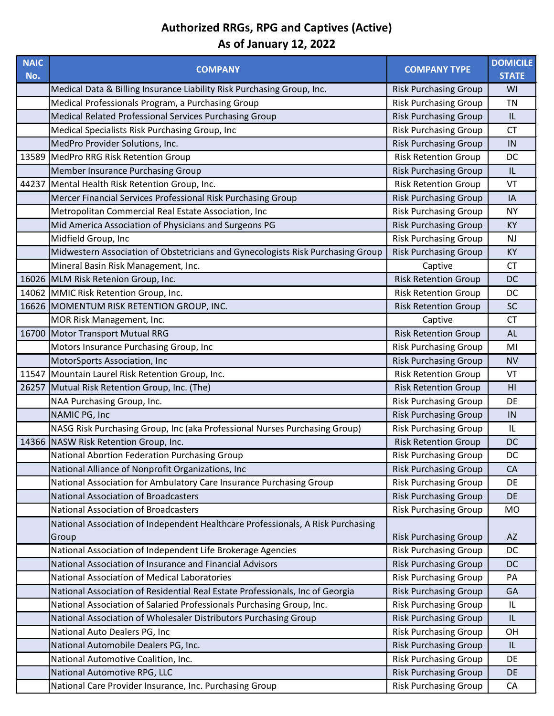| <b>NAIC</b> |                                                                                 | <b>COMPANY TYPE</b>          | <b>DOMICILE</b> |
|-------------|---------------------------------------------------------------------------------|------------------------------|-----------------|
| No.         | <b>COMPANY</b>                                                                  |                              | <b>STATE</b>    |
|             | Medical Data & Billing Insurance Liability Risk Purchasing Group, Inc.          | <b>Risk Purchasing Group</b> | WI              |
|             | Medical Professionals Program, a Purchasing Group                               | <b>Risk Purchasing Group</b> | <b>TN</b>       |
|             | Medical Related Professional Services Purchasing Group                          | <b>Risk Purchasing Group</b> | IL              |
|             | Medical Specialists Risk Purchasing Group, Inc                                  | <b>Risk Purchasing Group</b> | <b>CT</b>       |
|             | MedPro Provider Solutions, Inc.                                                 | <b>Risk Purchasing Group</b> | IN              |
| 13589       | MedPro RRG Risk Retention Group                                                 | <b>Risk Retention Group</b>  | DC              |
|             | Member Insurance Purchasing Group                                               | <b>Risk Purchasing Group</b> | IL              |
| 44237       | Mental Health Risk Retention Group, Inc.                                        | <b>Risk Retention Group</b>  | VT              |
|             | Mercer Financial Services Professional Risk Purchasing Group                    | <b>Risk Purchasing Group</b> | IA              |
|             | Metropolitan Commercial Real Estate Association, Inc                            | <b>Risk Purchasing Group</b> | <b>NY</b>       |
|             | Mid America Association of Physicians and Surgeons PG                           | <b>Risk Purchasing Group</b> | KY              |
|             | Midfield Group, Inc                                                             | <b>Risk Purchasing Group</b> | NJ              |
|             | Midwestern Association of Obstetricians and Gynecologists Risk Purchasing Group | <b>Risk Purchasing Group</b> | KY              |
|             | Mineral Basin Risk Management, Inc.                                             | Captive                      | <b>CT</b>       |
|             | 16026 MLM Risk Retenion Group, Inc.                                             | <b>Risk Retention Group</b>  | <b>DC</b>       |
| 14062       | MMIC Risk Retention Group, Inc.                                                 | <b>Risk Retention Group</b>  | DC              |
|             | 16626 MOMENTUM RISK RETENTION GROUP, INC.                                       | <b>Risk Retention Group</b>  | <b>SC</b>       |
|             | MOR Risk Management, Inc.                                                       | Captive                      | <b>CT</b>       |
|             | 16700 Motor Transport Mutual RRG                                                | <b>Risk Retention Group</b>  | <b>AL</b>       |
|             | Motors Insurance Purchasing Group, Inc                                          | <b>Risk Purchasing Group</b> | MI              |
|             | MotorSports Association, Inc                                                    | <b>Risk Purchasing Group</b> | <b>NV</b>       |
| 11547       | Mountain Laurel Risk Retention Group, Inc.                                      | <b>Risk Retention Group</b>  | VT              |
| 26257       | Mutual Risk Retention Group, Inc. (The)                                         | <b>Risk Retention Group</b>  | HI              |
|             | NAA Purchasing Group, Inc.                                                      | <b>Risk Purchasing Group</b> | DE              |
|             | NAMIC PG, Inc                                                                   | <b>Risk Purchasing Group</b> | IN              |
|             | NASG Risk Purchasing Group, Inc (aka Professional Nurses Purchasing Group)      | <b>Risk Purchasing Group</b> | IL              |
| 14366       | NASW Risk Retention Group, Inc.                                                 | <b>Risk Retention Group</b>  | DC              |
|             | National Abortion Federation Purchasing Group                                   | <b>Risk Purchasing Group</b> | DC              |
|             | National Alliance of Nonprofit Organizations, Inc                               | <b>Risk Purchasing Group</b> | CA              |
|             | National Association for Ambulatory Care Insurance Purchasing Group             | <b>Risk Purchasing Group</b> | DE              |
|             | <b>National Association of Broadcasters</b>                                     | <b>Risk Purchasing Group</b> | DE              |
|             | <b>National Association of Broadcasters</b>                                     | <b>Risk Purchasing Group</b> | <b>MO</b>       |
|             | National Association of Independent Healthcare Professionals, A Risk Purchasing |                              |                 |
|             | Group                                                                           | <b>Risk Purchasing Group</b> | <b>AZ</b>       |
|             | National Association of Independent Life Brokerage Agencies                     | <b>Risk Purchasing Group</b> | DC              |
|             | National Association of Insurance and Financial Advisors                        | <b>Risk Purchasing Group</b> | DC              |
|             | National Association of Medical Laboratories                                    | <b>Risk Purchasing Group</b> | PA              |
|             | National Association of Residential Real Estate Professionals, Inc of Georgia   | <b>Risk Purchasing Group</b> | GA              |
|             | National Association of Salaried Professionals Purchasing Group, Inc.           | <b>Risk Purchasing Group</b> | IL              |
|             | National Association of Wholesaler Distributors Purchasing Group                | <b>Risk Purchasing Group</b> | IL              |
|             | National Auto Dealers PG, Inc                                                   | <b>Risk Purchasing Group</b> | OH              |
|             | National Automobile Dealers PG, Inc.                                            | <b>Risk Purchasing Group</b> | IL              |
|             | National Automotive Coalition, Inc.                                             | <b>Risk Purchasing Group</b> | DE              |
|             | National Automotive RPG, LLC                                                    | <b>Risk Purchasing Group</b> | DE              |
|             | National Care Provider Insurance, Inc. Purchasing Group                         | <b>Risk Purchasing Group</b> | CA              |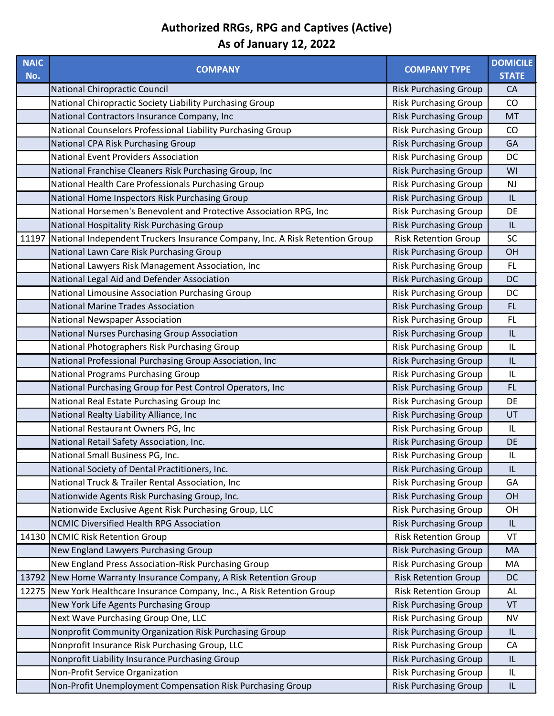| <b>NAIC</b> |                                                                              | <b>COMPANY TYPE</b>          | <b>DOMICILE</b> |
|-------------|------------------------------------------------------------------------------|------------------------------|-----------------|
| No.         | <b>COMPANY</b>                                                               |                              | <b>STATE</b>    |
|             | <b>National Chiropractic Council</b>                                         | <b>Risk Purchasing Group</b> | <b>CA</b>       |
|             | National Chiropractic Society Liability Purchasing Group                     | <b>Risk Purchasing Group</b> | CO              |
|             | National Contractors Insurance Company, Inc                                  | <b>Risk Purchasing Group</b> | MT              |
|             | National Counselors Professional Liability Purchasing Group                  | <b>Risk Purchasing Group</b> | CO              |
|             | National CPA Risk Purchasing Group                                           | <b>Risk Purchasing Group</b> | GA              |
|             | <b>National Event Providers Association</b>                                  | <b>Risk Purchasing Group</b> | DC              |
|             | National Franchise Cleaners Risk Purchasing Group, Inc                       | <b>Risk Purchasing Group</b> | WI              |
|             | National Health Care Professionals Purchasing Group                          | <b>Risk Purchasing Group</b> | NJ              |
|             | National Home Inspectors Risk Purchasing Group                               | <b>Risk Purchasing Group</b> | IL              |
|             | National Horsemen's Benevolent and Protective Association RPG, Inc           | <b>Risk Purchasing Group</b> | DE              |
|             | National Hospitality Risk Purchasing Group                                   | <b>Risk Purchasing Group</b> | IL              |
| 11197       | National Independent Truckers Insurance Company, Inc. A Risk Retention Group | <b>Risk Retention Group</b>  | <b>SC</b>       |
|             | National Lawn Care Risk Purchasing Group                                     | <b>Risk Purchasing Group</b> | <b>OH</b>       |
|             | National Lawyers Risk Management Association, Inc                            | <b>Risk Purchasing Group</b> | FL              |
|             | National Legal Aid and Defender Association                                  | <b>Risk Purchasing Group</b> | <b>DC</b>       |
|             | National Limousine Association Purchasing Group                              | <b>Risk Purchasing Group</b> | DC              |
|             | <b>National Marine Trades Association</b>                                    | <b>Risk Purchasing Group</b> | FL              |
|             | National Newspaper Association                                               | <b>Risk Purchasing Group</b> | <b>FL</b>       |
|             | National Nurses Purchasing Group Association                                 | <b>Risk Purchasing Group</b> | IL              |
|             | National Photographers Risk Purchasing Group                                 | <b>Risk Purchasing Group</b> | IL              |
|             | National Professional Purchasing Group Association, Inc                      | <b>Risk Purchasing Group</b> | IL              |
|             | <b>National Programs Purchasing Group</b>                                    | <b>Risk Purchasing Group</b> | IL              |
|             | National Purchasing Group for Pest Control Operators, Inc                    | <b>Risk Purchasing Group</b> | FL.             |
|             | National Real Estate Purchasing Group Inc                                    | <b>Risk Purchasing Group</b> | DE              |
|             | National Realty Liability Alliance, Inc                                      | <b>Risk Purchasing Group</b> | UT              |
|             | National Restaurant Owners PG, Inc                                           | <b>Risk Purchasing Group</b> | IL              |
|             | National Retail Safety Association, Inc.                                     | <b>Risk Purchasing Group</b> | DE              |
|             | National Small Business PG, Inc.                                             | <b>Risk Purchasing Group</b> | IL              |
|             | National Society of Dental Practitioners, Inc.                               | <b>Risk Purchasing Group</b> | IL              |
|             | National Truck & Trailer Rental Association, Inc                             | <b>Risk Purchasing Group</b> | GA              |
|             | Nationwide Agents Risk Purchasing Group, Inc.                                | <b>Risk Purchasing Group</b> | OH              |
|             | Nationwide Exclusive Agent Risk Purchasing Group, LLC                        | <b>Risk Purchasing Group</b> | OH              |
|             | <b>NCMIC Diversified Health RPG Association</b>                              | <b>Risk Purchasing Group</b> | IL              |
| 14130       | NCMIC Risk Retention Group                                                   | <b>Risk Retention Group</b>  | VT              |
|             | New England Lawyers Purchasing Group                                         | <b>Risk Purchasing Group</b> | MA              |
|             | New England Press Association-Risk Purchasing Group                          | <b>Risk Purchasing Group</b> | MA              |
| 13792       | New Home Warranty Insurance Company, A Risk Retention Group                  | <b>Risk Retention Group</b>  | DC              |
| 12275       | New York Healthcare Insurance Company, Inc., A Risk Retention Group          | <b>Risk Retention Group</b>  | <b>AL</b>       |
|             | New York Life Agents Purchasing Group                                        | <b>Risk Purchasing Group</b> | VT              |
|             | Next Wave Purchasing Group One, LLC                                          | <b>Risk Purchasing Group</b> | <b>NV</b>       |
|             | Nonprofit Community Organization Risk Purchasing Group                       | <b>Risk Purchasing Group</b> | IL              |
|             | Nonprofit Insurance Risk Purchasing Group, LLC                               | <b>Risk Purchasing Group</b> | CA              |
|             | Nonprofit Liability Insurance Purchasing Group                               | <b>Risk Purchasing Group</b> | IL              |
|             | Non-Profit Service Organization                                              | <b>Risk Purchasing Group</b> | IL              |
|             | Non-Profit Unemployment Compensation Risk Purchasing Group                   | <b>Risk Purchasing Group</b> | IL              |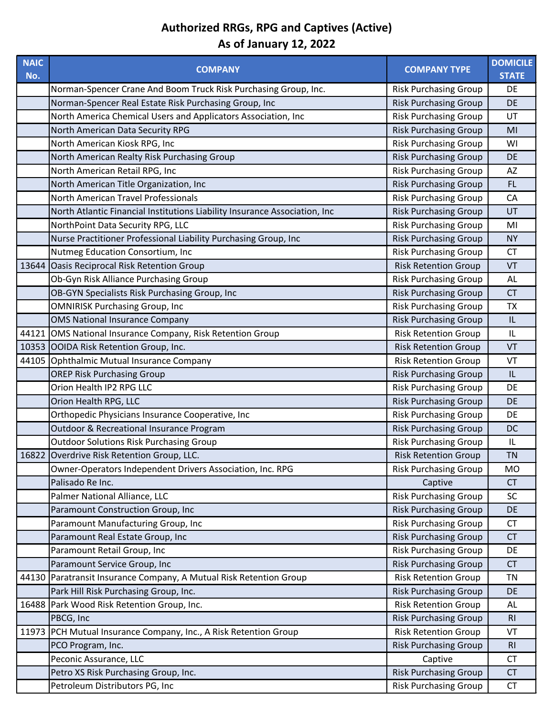| <b>NAIC</b> |                                                                            | <b>COMPANY TYPE</b>          | <b>DOMICILE</b> |
|-------------|----------------------------------------------------------------------------|------------------------------|-----------------|
| No.         | <b>COMPANY</b>                                                             |                              | <b>STATE</b>    |
|             | Norman-Spencer Crane And Boom Truck Risk Purchasing Group, Inc.            | <b>Risk Purchasing Group</b> | DE              |
|             | Norman-Spencer Real Estate Risk Purchasing Group, Inc                      | <b>Risk Purchasing Group</b> | <b>DE</b>       |
|             | North America Chemical Users and Applicators Association, Inc              | <b>Risk Purchasing Group</b> | UT              |
|             | North American Data Security RPG                                           | <b>Risk Purchasing Group</b> | MI              |
|             | North American Kiosk RPG, Inc                                              | <b>Risk Purchasing Group</b> | WI              |
|             | North American Realty Risk Purchasing Group                                | <b>Risk Purchasing Group</b> | <b>DE</b>       |
|             | North American Retail RPG, Inc                                             | <b>Risk Purchasing Group</b> | AZ              |
|             | North American Title Organization, Inc                                     | <b>Risk Purchasing Group</b> | FL.             |
|             | North American Travel Professionals                                        | <b>Risk Purchasing Group</b> | CA              |
|             | North Atlantic Financial Institutions Liability Insurance Association, Inc | <b>Risk Purchasing Group</b> | UT              |
|             | NorthPoint Data Security RPG, LLC                                          | <b>Risk Purchasing Group</b> | MI              |
|             | Nurse Practitioner Professional Liability Purchasing Group, Inc            | <b>Risk Purchasing Group</b> | <b>NY</b>       |
|             | Nutmeg Education Consortium, Inc                                           | <b>Risk Purchasing Group</b> | <b>CT</b>       |
| 13644       | Oasis Reciprocal Risk Retention Group                                      | <b>Risk Retention Group</b>  | VT              |
|             | Ob-Gyn Risk Alliance Purchasing Group                                      | <b>Risk Purchasing Group</b> | AL              |
|             | OB-GYN Specialists Risk Purchasing Group, Inc                              | <b>Risk Purchasing Group</b> | <b>CT</b>       |
|             | <b>OMNIRISK Purchasing Group, Inc</b>                                      | <b>Risk Purchasing Group</b> | <b>TX</b>       |
|             | <b>OMS National Insurance Company</b>                                      | <b>Risk Purchasing Group</b> | IL              |
| 44121       | OMS National Insurance Company, Risk Retention Group                       | <b>Risk Retention Group</b>  | IL              |
| 10353       | OOIDA Risk Retention Group, Inc.                                           | <b>Risk Retention Group</b>  | VT              |
| 44105       | Ophthalmic Mutual Insurance Company                                        | <b>Risk Retention Group</b>  | VT              |
|             | <b>OREP Risk Purchasing Group</b>                                          | <b>Risk Purchasing Group</b> | IL              |
|             | Orion Health IP2 RPG LLC                                                   | <b>Risk Purchasing Group</b> | DE              |
|             | Orion Health RPG, LLC                                                      | <b>Risk Purchasing Group</b> | DE              |
|             | Orthopedic Physicians Insurance Cooperative, Inc                           | <b>Risk Purchasing Group</b> | DE              |
|             | Outdoor & Recreational Insurance Program                                   | <b>Risk Purchasing Group</b> | <b>DC</b>       |
|             | <b>Outdoor Solutions Risk Purchasing Group</b>                             | <b>Risk Purchasing Group</b> | IL              |
|             | 16822 Overdrive Risk Retention Group, LLC.                                 | <b>Risk Retention Group</b>  | <b>TN</b>       |
|             | Owner-Operators Independent Drivers Association, Inc. RPG                  | <b>Risk Purchasing Group</b> | <b>MO</b>       |
|             | Palisado Re Inc.                                                           | Captive                      | <b>CT</b>       |
|             | Palmer National Alliance, LLC                                              | <b>Risk Purchasing Group</b> | <b>SC</b>       |
|             | Paramount Construction Group, Inc                                          | <b>Risk Purchasing Group</b> | DE              |
|             | Paramount Manufacturing Group, Inc                                         | <b>Risk Purchasing Group</b> | <b>CT</b>       |
|             | Paramount Real Estate Group, Inc                                           | <b>Risk Purchasing Group</b> | <b>CT</b>       |
|             | Paramount Retail Group, Inc                                                | <b>Risk Purchasing Group</b> | DE              |
|             | Paramount Service Group, Inc                                               | <b>Risk Purchasing Group</b> | <b>CT</b>       |
|             | 44130 Paratransit Insurance Company, A Mutual Risk Retention Group         | <b>Risk Retention Group</b>  | <b>TN</b>       |
|             | Park Hill Risk Purchasing Group, Inc.                                      | <b>Risk Purchasing Group</b> | DE              |
| 16488       | Park Wood Risk Retention Group, Inc.                                       | <b>Risk Retention Group</b>  | <b>AL</b>       |
|             | PBCG, Inc                                                                  | <b>Risk Purchasing Group</b> | R1              |
| 11973       | PCH Mutual Insurance Company, Inc., A Risk Retention Group                 | <b>Risk Retention Group</b>  | VT              |
|             | PCO Program, Inc.                                                          | <b>Risk Purchasing Group</b> | R1              |
|             | Peconic Assurance, LLC                                                     | Captive                      | <b>CT</b>       |
|             | Petro XS Risk Purchasing Group, Inc.                                       | <b>Risk Purchasing Group</b> | <b>CT</b>       |
|             | Petroleum Distributors PG, Inc                                             | <b>Risk Purchasing Group</b> | <b>CT</b>       |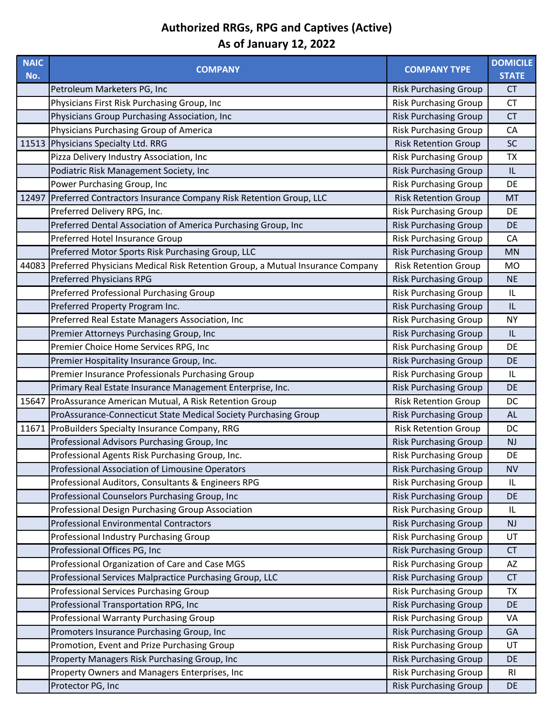| <b>NAIC</b> |                                                                               |                              | <b>DOMICILE</b> |
|-------------|-------------------------------------------------------------------------------|------------------------------|-----------------|
| No.         | <b>COMPANY</b>                                                                | <b>COMPANY TYPE</b>          | <b>STATE</b>    |
|             | Petroleum Marketers PG, Inc                                                   | <b>Risk Purchasing Group</b> | <b>CT</b>       |
|             | Physicians First Risk Purchasing Group, Inc                                   | <b>Risk Purchasing Group</b> | <b>CT</b>       |
|             | Physicians Group Purchasing Association, Inc                                  | <b>Risk Purchasing Group</b> | <b>CT</b>       |
|             | Physicians Purchasing Group of America                                        | <b>Risk Purchasing Group</b> | CA              |
| 11513       | Physicians Specialty Ltd. RRG                                                 | <b>Risk Retention Group</b>  | <b>SC</b>       |
|             | Pizza Delivery Industry Association, Inc                                      | <b>Risk Purchasing Group</b> | <b>TX</b>       |
|             | Podiatric Risk Management Society, Inc                                        | <b>Risk Purchasing Group</b> | IL              |
|             | Power Purchasing Group, Inc                                                   | <b>Risk Purchasing Group</b> | DE              |
| 12497       | Preferred Contractors Insurance Company Risk Retention Group, LLC             | <b>Risk Retention Group</b>  | MT              |
|             | Preferred Delivery RPG, Inc.                                                  | <b>Risk Purchasing Group</b> | DE              |
|             | Preferred Dental Association of America Purchasing Group, Inc                 | <b>Risk Purchasing Group</b> | <b>DE</b>       |
|             | Preferred Hotel Insurance Group                                               | <b>Risk Purchasing Group</b> | CA              |
|             | Preferred Motor Sports Risk Purchasing Group, LLC                             | <b>Risk Purchasing Group</b> | <b>MN</b>       |
| 44083       | Preferred Physicians Medical Risk Retention Group, a Mutual Insurance Company | <b>Risk Retention Group</b>  | <b>MO</b>       |
|             | <b>Preferred Physicians RPG</b>                                               | <b>Risk Purchasing Group</b> | <b>NE</b>       |
|             | Preferred Professional Purchasing Group                                       | <b>Risk Purchasing Group</b> | IL              |
|             | Preferred Property Program Inc.                                               | <b>Risk Purchasing Group</b> | IL              |
|             | Preferred Real Estate Managers Association, Inc                               | <b>Risk Purchasing Group</b> | <b>NY</b>       |
|             | Premier Attorneys Purchasing Group, Inc                                       | <b>Risk Purchasing Group</b> | IL              |
|             | Premier Choice Home Services RPG, Inc                                         | <b>Risk Purchasing Group</b> | DE              |
|             | Premier Hospitality Insurance Group, Inc.                                     | <b>Risk Purchasing Group</b> | <b>DE</b>       |
|             | Premier Insurance Professionals Purchasing Group                              | <b>Risk Purchasing Group</b> | IL              |
|             | Primary Real Estate Insurance Management Enterprise, Inc.                     | <b>Risk Purchasing Group</b> | <b>DE</b>       |
| 15647       | ProAssurance American Mutual, A Risk Retention Group                          | <b>Risk Retention Group</b>  | DC              |
|             | ProAssurance-Connecticut State Medical Society Purchasing Group               | <b>Risk Purchasing Group</b> | <b>AL</b>       |
| 11671       | ProBuilders Specialty Insurance Company, RRG                                  | <b>Risk Retention Group</b>  | DC              |
|             | Professional Advisors Purchasing Group, Inc                                   | <b>Risk Purchasing Group</b> | <b>NJ</b>       |
|             | Professional Agents Risk Purchasing Group, Inc.                               | <b>Risk Purchasing Group</b> | DE              |
|             | Professional Association of Limousine Operators                               | <b>Risk Purchasing Group</b> | <b>NV</b>       |
|             | Professional Auditors, Consultants & Engineers RPG                            | <b>Risk Purchasing Group</b> | IL              |
|             | Professional Counselors Purchasing Group, Inc                                 | <b>Risk Purchasing Group</b> | DE              |
|             | Professional Design Purchasing Group Association                              | <b>Risk Purchasing Group</b> | IL              |
|             | <b>Professional Environmental Contractors</b>                                 | <b>Risk Purchasing Group</b> | NJ              |
|             | Professional Industry Purchasing Group                                        | <b>Risk Purchasing Group</b> | UT              |
|             | Professional Offices PG, Inc                                                  | <b>Risk Purchasing Group</b> | <b>CT</b>       |
|             | Professional Organization of Care and Case MGS                                | <b>Risk Purchasing Group</b> | AZ              |
|             | Professional Services Malpractice Purchasing Group, LLC                       | <b>Risk Purchasing Group</b> | <b>CT</b>       |
|             | Professional Services Purchasing Group                                        | <b>Risk Purchasing Group</b> | <b>TX</b>       |
|             | Professional Transportation RPG, Inc                                          | <b>Risk Purchasing Group</b> | DE              |
|             | Professional Warranty Purchasing Group                                        | <b>Risk Purchasing Group</b> | VA              |
|             | Promoters Insurance Purchasing Group, Inc                                     | <b>Risk Purchasing Group</b> | GA              |
|             | Promotion, Event and Prize Purchasing Group                                   | <b>Risk Purchasing Group</b> | UT              |
|             | Property Managers Risk Purchasing Group, Inc                                  | <b>Risk Purchasing Group</b> | DE              |
|             | Property Owners and Managers Enterprises, Inc                                 | <b>Risk Purchasing Group</b> | R1              |
|             | Protector PG, Inc                                                             | <b>Risk Purchasing Group</b> | DE              |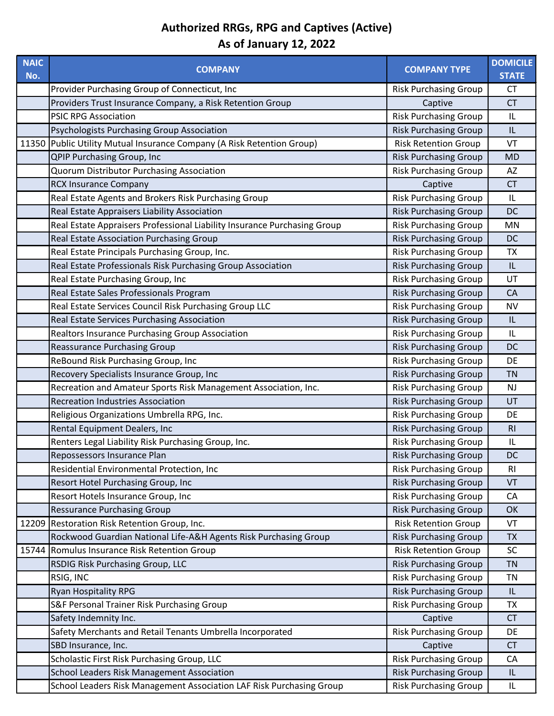| <b>NAIC</b> |                                                                          | <b>COMPANY TYPE</b>          | <b>DOMICILE</b> |
|-------------|--------------------------------------------------------------------------|------------------------------|-----------------|
| No.         | <b>COMPANY</b>                                                           |                              | <b>STATE</b>    |
|             | Provider Purchasing Group of Connecticut, Inc                            | <b>Risk Purchasing Group</b> | <b>CT</b>       |
|             | Providers Trust Insurance Company, a Risk Retention Group                | Captive                      | <b>CT</b>       |
|             | <b>PSIC RPG Association</b>                                              | <b>Risk Purchasing Group</b> | IL              |
|             | Psychologists Purchasing Group Association                               | <b>Risk Purchasing Group</b> | IL              |
| 11350       | Public Utility Mutual Insurance Company (A Risk Retention Group)         | <b>Risk Retention Group</b>  | VT              |
|             | <b>QPIP Purchasing Group, Inc</b>                                        | <b>Risk Purchasing Group</b> | <b>MD</b>       |
|             | <b>Quorum Distributor Purchasing Association</b>                         | <b>Risk Purchasing Group</b> | AZ              |
|             | <b>RCX Insurance Company</b>                                             | Captive                      | <b>CT</b>       |
|             | Real Estate Agents and Brokers Risk Purchasing Group                     | <b>Risk Purchasing Group</b> | IL              |
|             | Real Estate Appraisers Liability Association                             | <b>Risk Purchasing Group</b> | <b>DC</b>       |
|             | Real Estate Appraisers Professional Liability Insurance Purchasing Group | <b>Risk Purchasing Group</b> | MN              |
|             | Real Estate Association Purchasing Group                                 | <b>Risk Purchasing Group</b> | <b>DC</b>       |
|             | Real Estate Principals Purchasing Group, Inc.                            | <b>Risk Purchasing Group</b> | <b>TX</b>       |
|             | Real Estate Professionals Risk Purchasing Group Association              | <b>Risk Purchasing Group</b> | IL              |
|             | Real Estate Purchasing Group, Inc                                        | <b>Risk Purchasing Group</b> | UT              |
|             | Real Estate Sales Professionals Program                                  | <b>Risk Purchasing Group</b> | <b>CA</b>       |
|             | Real Estate Services Council Risk Purchasing Group LLC                   | <b>Risk Purchasing Group</b> | <b>NV</b>       |
|             | Real Estate Services Purchasing Association                              | <b>Risk Purchasing Group</b> | IL              |
|             | Realtors Insurance Purchasing Group Association                          | <b>Risk Purchasing Group</b> | IL              |
|             | <b>Reassurance Purchasing Group</b>                                      | <b>Risk Purchasing Group</b> | <b>DC</b>       |
|             | ReBound Risk Purchasing Group, Inc                                       | <b>Risk Purchasing Group</b> | DE              |
|             | Recovery Specialists Insurance Group, Inc                                | <b>Risk Purchasing Group</b> | <b>TN</b>       |
|             | Recreation and Amateur Sports Risk Management Association, Inc.          | <b>Risk Purchasing Group</b> | NJ              |
|             | <b>Recreation Industries Association</b>                                 | <b>Risk Purchasing Group</b> | UT              |
|             | Religious Organizations Umbrella RPG, Inc.                               | <b>Risk Purchasing Group</b> | DE              |
|             | Rental Equipment Dealers, Inc                                            | <b>Risk Purchasing Group</b> | R1              |
|             | Renters Legal Liability Risk Purchasing Group, Inc.                      | <b>Risk Purchasing Group</b> | IL              |
|             | Repossessors Insurance Plan                                              | <b>Risk Purchasing Group</b> | <b>DC</b>       |
|             | Residential Environmental Protection, Inc                                | <b>Risk Purchasing Group</b> | R <sub>l</sub>  |
|             | Resort Hotel Purchasing Group, Inc                                       | <b>Risk Purchasing Group</b> | VT              |
|             | Resort Hotels Insurance Group, Inc                                       | <b>Risk Purchasing Group</b> | CA              |
|             | <b>Ressurance Purchasing Group</b>                                       | <b>Risk Purchasing Group</b> | OK              |
| 12209       | Restoration Risk Retention Group, Inc.                                   | <b>Risk Retention Group</b>  | VT              |
|             | Rockwood Guardian National Life-A&H Agents Risk Purchasing Group         | <b>Risk Purchasing Group</b> | <b>TX</b>       |
| 15744       | Romulus Insurance Risk Retention Group                                   | <b>Risk Retention Group</b>  | <b>SC</b>       |
|             | RSDIG Risk Purchasing Group, LLC                                         | <b>Risk Purchasing Group</b> | <b>TN</b>       |
|             | RSIG, INC                                                                | <b>Risk Purchasing Group</b> | <b>TN</b>       |
|             | <b>Ryan Hospitality RPG</b>                                              | <b>Risk Purchasing Group</b> | IL              |
|             | S&F Personal Trainer Risk Purchasing Group                               | <b>Risk Purchasing Group</b> | <b>TX</b>       |
|             | Safety Indemnity Inc.                                                    | Captive                      | <b>CT</b>       |
|             | Safety Merchants and Retail Tenants Umbrella Incorporated                | <b>Risk Purchasing Group</b> | DE              |
|             | SBD Insurance, Inc.                                                      | Captive                      | <b>CT</b>       |
|             | Scholastic First Risk Purchasing Group, LLC                              | <b>Risk Purchasing Group</b> | CA              |
|             | School Leaders Risk Management Association                               | <b>Risk Purchasing Group</b> | IL              |
|             | School Leaders Risk Management Association LAF Risk Purchasing Group     | <b>Risk Purchasing Group</b> | IL              |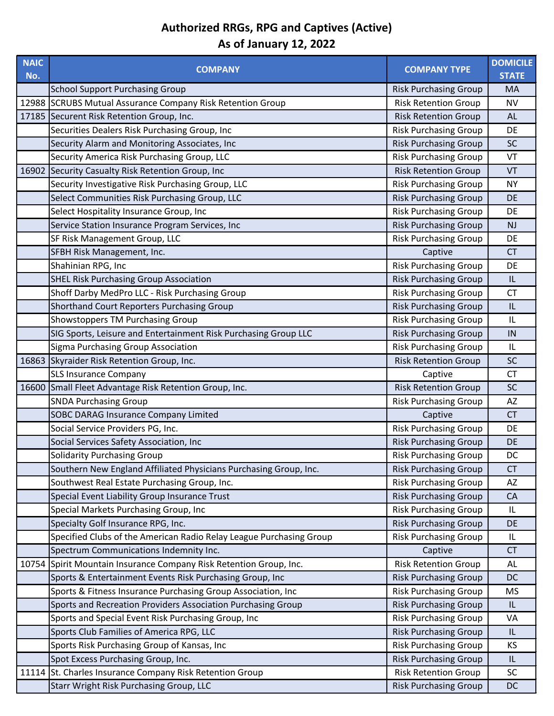| <b>NAIC</b> |                                                                     |                              | <b>DOMICILE</b> |
|-------------|---------------------------------------------------------------------|------------------------------|-----------------|
| No.         | <b>COMPANY</b>                                                      | <b>COMPANY TYPE</b>          | <b>STATE</b>    |
|             | <b>School Support Purchasing Group</b>                              | <b>Risk Purchasing Group</b> | <b>MA</b>       |
| 12988       | <b>SCRUBS Mutual Assurance Company Risk Retention Group</b>         | <b>Risk Retention Group</b>  | <b>NV</b>       |
| 17185       | Securent Risk Retention Group, Inc.                                 | <b>Risk Retention Group</b>  | <b>AL</b>       |
|             | Securities Dealers Risk Purchasing Group, Inc                       | <b>Risk Purchasing Group</b> | DE              |
|             | Security Alarm and Monitoring Associates, Inc                       | <b>Risk Purchasing Group</b> | <b>SC</b>       |
|             | Security America Risk Purchasing Group, LLC                         | <b>Risk Purchasing Group</b> | VT              |
| 16902       | Security Casualty Risk Retention Group, Inc                         | <b>Risk Retention Group</b>  | VT              |
|             | Security Investigative Risk Purchasing Group, LLC                   | <b>Risk Purchasing Group</b> | <b>NY</b>       |
|             | Select Communities Risk Purchasing Group, LLC                       | <b>Risk Purchasing Group</b> | DE              |
|             | Select Hospitality Insurance Group, Inc                             | <b>Risk Purchasing Group</b> | DE              |
|             | Service Station Insurance Program Services, Inc                     | <b>Risk Purchasing Group</b> | <b>NJ</b>       |
|             | SF Risk Management Group, LLC                                       | <b>Risk Purchasing Group</b> | DE              |
|             | SFBH Risk Management, Inc.                                          | Captive                      | <b>CT</b>       |
|             | Shahinian RPG, Inc                                                  | <b>Risk Purchasing Group</b> | DE              |
|             | <b>SHEL Risk Purchasing Group Association</b>                       | <b>Risk Purchasing Group</b> | IL              |
|             | Shoff Darby MedPro LLC - Risk Purchasing Group                      | <b>Risk Purchasing Group</b> | <b>CT</b>       |
|             | Shorthand Court Reporters Purchasing Group                          | <b>Risk Purchasing Group</b> | IL              |
|             | Showstoppers TM Purchasing Group                                    | <b>Risk Purchasing Group</b> | IL              |
|             | SIG Sports, Leisure and Entertainment Risk Purchasing Group LLC     | <b>Risk Purchasing Group</b> | IN              |
|             | Sigma Purchasing Group Association                                  | <b>Risk Purchasing Group</b> | IL              |
| 16863       | Skyraider Risk Retention Group, Inc.                                | <b>Risk Retention Group</b>  | <b>SC</b>       |
|             | <b>SLS Insurance Company</b>                                        | Captive                      | <b>CT</b>       |
| 16600       | Small Fleet Advantage Risk Retention Group, Inc.                    | <b>Risk Retention Group</b>  | <b>SC</b>       |
|             | <b>SNDA Purchasing Group</b>                                        | <b>Risk Purchasing Group</b> | AZ              |
|             | <b>SOBC DARAG Insurance Company Limited</b>                         | Captive                      | <b>CT</b>       |
|             | Social Service Providers PG, Inc.                                   | <b>Risk Purchasing Group</b> | DE              |
|             | Social Services Safety Association, Inc                             | <b>Risk Purchasing Group</b> | <b>DE</b>       |
|             | <b>Solidarity Purchasing Group</b>                                  | <b>Risk Purchasing Group</b> | DC              |
|             | Southern New England Affiliated Physicians Purchasing Group, Inc.   | <b>Risk Purchasing Group</b> | <b>CT</b>       |
|             | Southwest Real Estate Purchasing Group, Inc.                        | <b>Risk Purchasing Group</b> | AZ              |
|             | Special Event Liability Group Insurance Trust                       | <b>Risk Purchasing Group</b> | CA              |
|             | Special Markets Purchasing Group, Inc                               | <b>Risk Purchasing Group</b> | IL              |
|             | Specialty Golf Insurance RPG, Inc.                                  | <b>Risk Purchasing Group</b> | DE              |
|             | Specified Clubs of the American Radio Relay League Purchasing Group | <b>Risk Purchasing Group</b> | IL              |
|             | Spectrum Communications Indemnity Inc.                              | Captive                      | <b>CT</b>       |
| 10754       | Spirit Mountain Insurance Company Risk Retention Group, Inc.        | <b>Risk Retention Group</b>  | <b>AL</b>       |
|             | Sports & Entertainment Events Risk Purchasing Group, Inc            | <b>Risk Purchasing Group</b> | <b>DC</b>       |
|             | Sports & Fitness Insurance Purchasing Group Association, Inc        | <b>Risk Purchasing Group</b> | <b>MS</b>       |
|             | Sports and Recreation Providers Association Purchasing Group        | <b>Risk Purchasing Group</b> | IL              |
|             | Sports and Special Event Risk Purchasing Group, Inc                 | <b>Risk Purchasing Group</b> | VA              |
|             | Sports Club Families of America RPG, LLC                            | <b>Risk Purchasing Group</b> | IL              |
|             | Sports Risk Purchasing Group of Kansas, Inc                         | <b>Risk Purchasing Group</b> | KS              |
|             | Spot Excess Purchasing Group, Inc.                                  | <b>Risk Purchasing Group</b> | IL              |
| 11114       | St. Charles Insurance Company Risk Retention Group                  | <b>Risk Retention Group</b>  | SC              |
|             | Starr Wright Risk Purchasing Group, LLC                             | <b>Risk Purchasing Group</b> | DC              |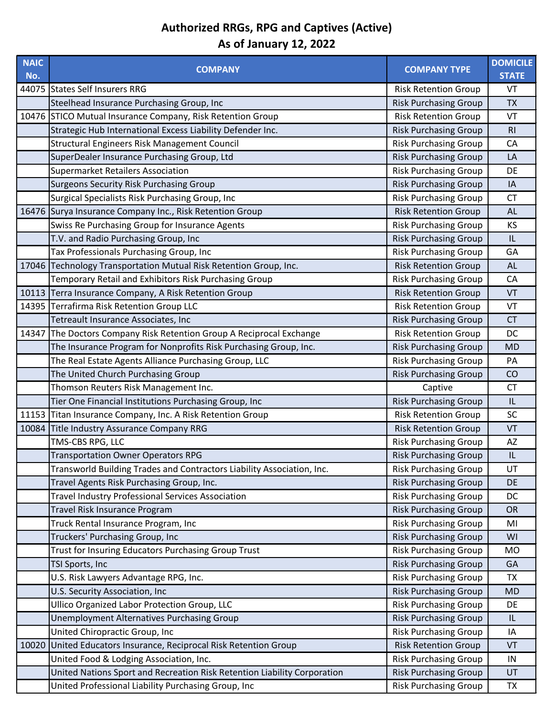| <b>NAIC</b> |                                                                          | <b>COMPANY TYPE</b>          | <b>DOMICILE</b> |
|-------------|--------------------------------------------------------------------------|------------------------------|-----------------|
| No.         | <b>COMPANY</b>                                                           |                              | <b>STATE</b>    |
|             | 44075 States Self Insurers RRG                                           | <b>Risk Retention Group</b>  | VT              |
|             | Steelhead Insurance Purchasing Group, Inc                                | <b>Risk Purchasing Group</b> | <b>TX</b>       |
|             | 10476 STICO Mutual Insurance Company, Risk Retention Group               | <b>Risk Retention Group</b>  | VT              |
|             | Strategic Hub International Excess Liability Defender Inc.               | <b>Risk Purchasing Group</b> | R1              |
|             | Structural Engineers Risk Management Council                             | <b>Risk Purchasing Group</b> | CA              |
|             | SuperDealer Insurance Purchasing Group, Ltd                              | <b>Risk Purchasing Group</b> | LA              |
|             | <b>Supermarket Retailers Association</b>                                 | <b>Risk Purchasing Group</b> | DE              |
|             | <b>Surgeons Security Risk Purchasing Group</b>                           | <b>Risk Purchasing Group</b> | IA              |
|             | Surgical Specialists Risk Purchasing Group, Inc                          | <b>Risk Purchasing Group</b> | <b>CT</b>       |
|             | 16476 Surya Insurance Company Inc., Risk Retention Group                 | <b>Risk Retention Group</b>  | <b>AL</b>       |
|             | Swiss Re Purchasing Group for Insurance Agents                           | <b>Risk Purchasing Group</b> | KS              |
|             | T.V. and Radio Purchasing Group, Inc                                     | <b>Risk Purchasing Group</b> | IL              |
|             | Tax Professionals Purchasing Group, Inc                                  | <b>Risk Purchasing Group</b> | GA              |
| 17046       | Technology Transportation Mutual Risk Retention Group, Inc.              | <b>Risk Retention Group</b>  | <b>AL</b>       |
|             | Temporary Retail and Exhibitors Risk Purchasing Group                    | <b>Risk Purchasing Group</b> | CA              |
| 10113       | Terra Insurance Company, A Risk Retention Group                          | <b>Risk Retention Group</b>  | VT              |
| 14395       | Terrafirma Risk Retention Group LLC                                      | <b>Risk Retention Group</b>  | VT              |
|             | Tetreault Insurance Associates, Inc                                      | <b>Risk Purchasing Group</b> | <b>CT</b>       |
| 14347       | The Doctors Company Risk Retention Group A Reciprocal Exchange           | <b>Risk Retention Group</b>  | DC              |
|             | The Insurance Program for Nonprofits Risk Purchasing Group, Inc.         | <b>Risk Purchasing Group</b> | <b>MD</b>       |
|             | The Real Estate Agents Alliance Purchasing Group, LLC                    | <b>Risk Purchasing Group</b> | PA              |
|             | The United Church Purchasing Group                                       | <b>Risk Purchasing Group</b> | CO              |
|             | Thomson Reuters Risk Management Inc.                                     | Captive                      | <b>CT</b>       |
|             | Tier One Financial Institutions Purchasing Group, Inc                    | <b>Risk Purchasing Group</b> | IL              |
| 11153       | Titan Insurance Company, Inc. A Risk Retention Group                     | <b>Risk Retention Group</b>  | <b>SC</b>       |
| 10084       | Title Industry Assurance Company RRG                                     | <b>Risk Retention Group</b>  | VT              |
|             | TMS-CBS RPG, LLC                                                         | <b>Risk Purchasing Group</b> | AZ              |
|             | <b>Transportation Owner Operators RPG</b>                                | <b>Risk Purchasing Group</b> | IL              |
|             | Transworld Building Trades and Contractors Liability Association, Inc.   | <b>Risk Purchasing Group</b> | UT              |
|             | Travel Agents Risk Purchasing Group, Inc.                                | <b>Risk Purchasing Group</b> | DE              |
|             | Travel Industry Professional Services Association                        | <b>Risk Purchasing Group</b> | DC              |
|             | Travel Risk Insurance Program                                            | <b>Risk Purchasing Group</b> | <b>OR</b>       |
|             | Truck Rental Insurance Program, Inc                                      | <b>Risk Purchasing Group</b> | MI              |
|             | Truckers' Purchasing Group, Inc                                          | <b>Risk Purchasing Group</b> | WI              |
|             | Trust for Insuring Educators Purchasing Group Trust                      | <b>Risk Purchasing Group</b> | MO              |
|             | TSI Sports, Inc                                                          | <b>Risk Purchasing Group</b> | GA              |
|             | U.S. Risk Lawyers Advantage RPG, Inc.                                    | <b>Risk Purchasing Group</b> | <b>TX</b>       |
|             | U.S. Security Association, Inc                                           | <b>Risk Purchasing Group</b> | <b>MD</b>       |
|             | <b>Ullico Organized Labor Protection Group, LLC</b>                      | <b>Risk Purchasing Group</b> | DE              |
|             | Unemployment Alternatives Purchasing Group                               | <b>Risk Purchasing Group</b> | IL              |
|             | United Chiropractic Group, Inc                                           | <b>Risk Purchasing Group</b> | IA              |
| 10020       | United Educators Insurance, Reciprocal Risk Retention Group              | <b>Risk Retention Group</b>  | VT              |
|             | United Food & Lodging Association, Inc.                                  | <b>Risk Purchasing Group</b> | IN              |
|             | United Nations Sport and Recreation Risk Retention Liability Corporation | <b>Risk Purchasing Group</b> | UT              |
|             | United Professional Liability Purchasing Group, Inc                      | <b>Risk Purchasing Group</b> | <b>TX</b>       |